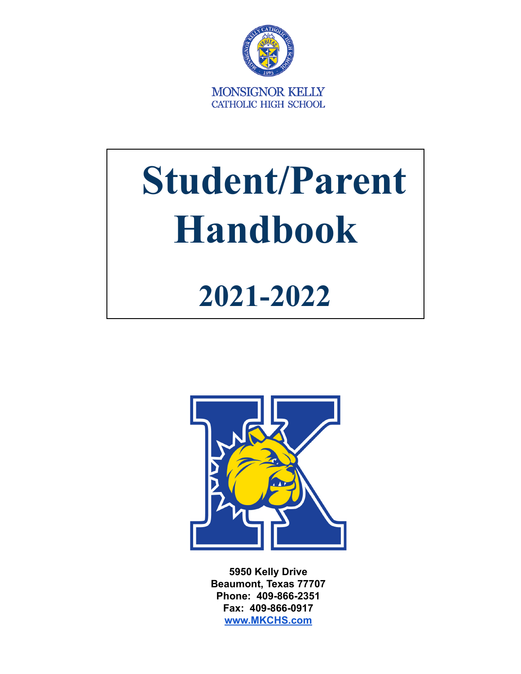

# **Student/Parent Handbook**

### **2021-2022**



**5950 Kelly Drive Beaumont, Texas 77707 Phone: 409-866-2351 Fax: 409-866-0917 [www.MKCHS.com](http://www.mkchs.com)**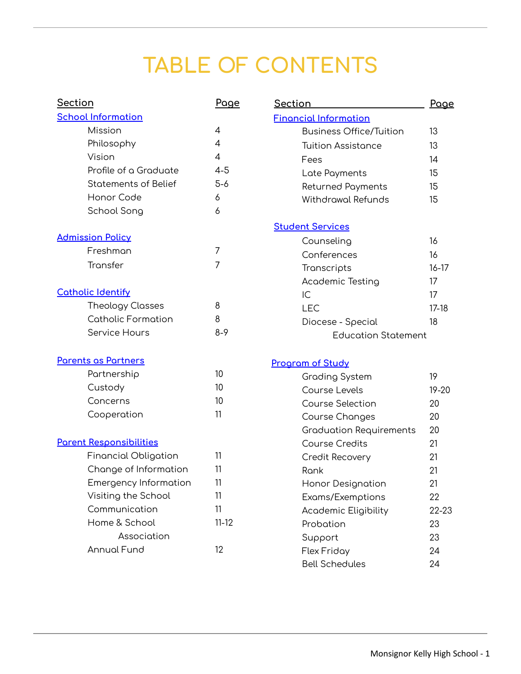### **TABLE OF CONTENTS**

| <b>Section</b>                 | Page           | <u>Section</u>                 | Page      |
|--------------------------------|----------------|--------------------------------|-----------|
| <b>School Information</b>      |                | <b>Financial Information</b>   |           |
| Mission                        | $\overline{4}$ | <b>Business Office/Tuition</b> | 13        |
| Philosophy                     | 4              | <b>Tuition Assistance</b>      | 13        |
| Vision                         | 4              | Fees                           | 14        |
| Profile of a Graduate          | $4 - 5$        | Late Payments                  | 15        |
| <b>Statements of Belief</b>    | $5-6$          | <b>Returned Payments</b>       | 15        |
| Honor Code                     | 6              | <b>Withdrawal Refunds</b>      | 15        |
| School Song                    | 6              |                                |           |
|                                |                | <b>Student Services</b>        |           |
| <b>Admission Policy</b>        |                | Counseling                     | 16        |
| Freshman                       | 7              | Conferences                    | 16        |
| Transfer                       | 7              | Transcripts                    | $16 - 17$ |
|                                |                | <b>Academic Testing</b>        | 17        |
| <b>Catholic Identify</b>       |                | IC                             | 17        |
| <b>Theology Classes</b>        | 8              | <b>LEC</b>                     | $17-18$   |
| <b>Catholic Formation</b>      | 8              | Diocese - Special              | 18        |
| Service Hours                  | $8-9$          | <b>Education Statement</b>     |           |
| Parents as Partners            |                | <b>Program of Study</b>        |           |
| Partnership                    | 10             | <b>Grading System</b>          | 19        |
| Custody                        | 10             | Course Levels                  | $19 - 20$ |
| Concerns                       | 10             | <b>Course Selection</b>        | 20        |
| Cooperation                    | 11             | Course Changes                 | 20        |
|                                |                | <b>Graduation Requirements</b> | 20        |
| <b>Parent Responsibilities</b> |                | <b>Course Credits</b>          | 21        |
| <b>Financial Obligation</b>    | 11             | Credit Recovery                | 21        |
| Change of Information          | 11             | Rank                           | 21        |
| <b>Emergency Information</b>   | 11             | Honor Designation              | 21        |
| Visiting the School            | 11             | Exams/Exemptions               | 22        |
| Communication                  | 11             | <b>Academic Eligibility</b>    | 22-23     |
| Home & School                  | $11 - 12$      | Probation                      | 23        |
| Association                    |                | Support                        | 23        |
| <b>Annual Fund</b>             | 12             | <b>Flex Friday</b>             | 24        |
|                                |                | <b>Bell Schedules</b>          | 24        |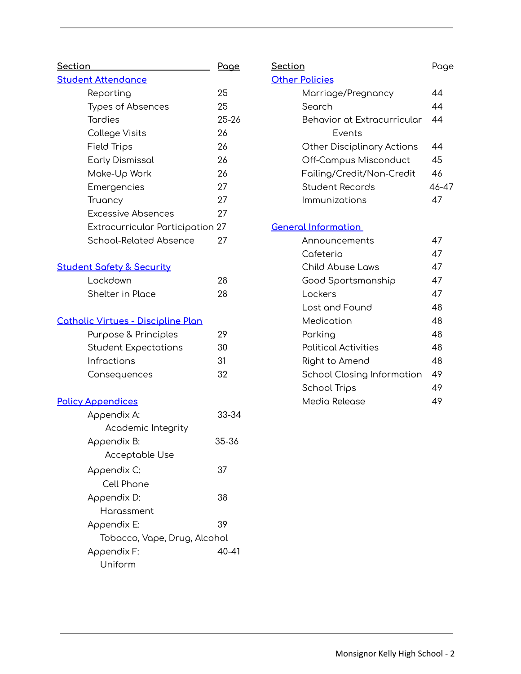| <u>Section</u>                            | <u>Page</u> |
|-------------------------------------------|-------------|
| <b>Student Attendance</b>                 |             |
| Reporting                                 | 25          |
| <b>Types of Absences</b>                  | 25          |
| <b>Tordies</b>                            | $25 - 26$   |
| College Visits                            | 26          |
| Field Trips                               | 26          |
| <b>Early Dismissal</b>                    | 26          |
| Make-Up Work                              | 26          |
| Emergencies                               | 27          |
| Truancy                                   | 27          |
| <b>Excessive Absences</b>                 | 27          |
| Extracurricular Participation 27          |             |
| <b>School-Related Absence</b>             | 27          |
| <b>Student Safety &amp; Security</b>      |             |
| Lockdown                                  | 28          |
| <b>Shelter in Place</b>                   | 28          |
| <b>Catholic Virtues - Discipline Plan</b> |             |
| Purpose & Principles                      | 29          |
| Student Expectations                      | 30          |
| Infractions                               | 31          |
| Consequences                              | 32          |
| <b>Policy Appendices</b>                  |             |
| Appendix A:                               | 33-34       |
| Academic Integrity                        |             |
| Appendix B:                               | 35-36       |
| Acceptable Use                            |             |
| Appendix C:                               | 37          |
| Cell Phone                                |             |
| Appendix D:                               | 38          |
| Harassment                                |             |
| Appendix E:                               | 39          |
| Tobacco, Vape, Drug, Alcohol              |             |
| Appendix F:                               | 40-41       |
| Uniform                                   |             |

| <u>Section</u>              | Page  |
|-----------------------------|-------|
| <b>Other Policies</b>       |       |
| Marriage/Pregnancy          | 44    |
| Search                      | 44    |
| Behavior at Extracurricular | 44    |
| Fvents                      |       |
| Other Disciplinary Actions  | 44    |
| Off-Campus Misconduct       | 45    |
| Failing/Credit/Non-Credit   | 46    |
| Student Records             | 46-47 |
| Immunizations               | 47    |
|                             |       |
| <b>General Information</b>  |       |
| Announcements               | 47    |
| Cafeteria                   | 47    |
| <b>Child Abuse Laws</b>     | 47    |
| Good Sportsmanship          | 47    |
| Lockers                     | 47    |
| Lost and Found              | 48    |
| Medication                  | 48    |
| Parking                     | 48    |
| Political Activities        | 48    |
| Right to Amend              | 48    |
| School Closing Information  | 49    |
| School Trips                | 49    |
| Media Release               | 49    |
|                             |       |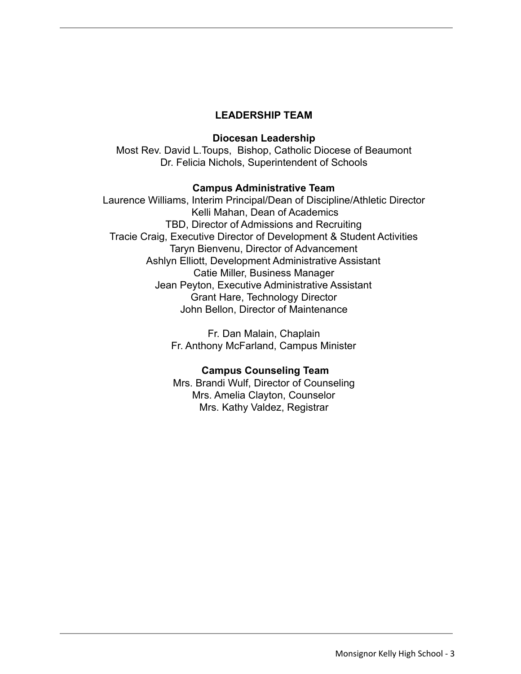#### **LEADERSHIP TEAM**

#### **Diocesan Leadership**

Most Rev. David L.Toups, Bishop, Catholic Diocese of Beaumont Dr. Felicia Nichols, Superintendent of Schools

#### **Campus Administrative Team**

Laurence Williams, Interim Principal/Dean of Discipline/Athletic Director Kelli Mahan, Dean of Academics TBD, Director of Admissions and Recruiting Tracie Craig, Executive Director of Development & Student Activities Taryn Bienvenu, Director of Advancement Ashlyn Elliott, Development Administrative Assistant Catie Miller, Business Manager Jean Peyton, Executive Administrative Assistant Grant Hare, Technology Director John Bellon, Director of Maintenance

> Fr. Dan Malain, Chaplain Fr. Anthony McFarland, Campus Minister

#### **Campus Counseling Team**

Mrs. Brandi Wulf, Director of Counseling Mrs. Amelia Clayton, Counselor Mrs. Kathy Valdez, Registrar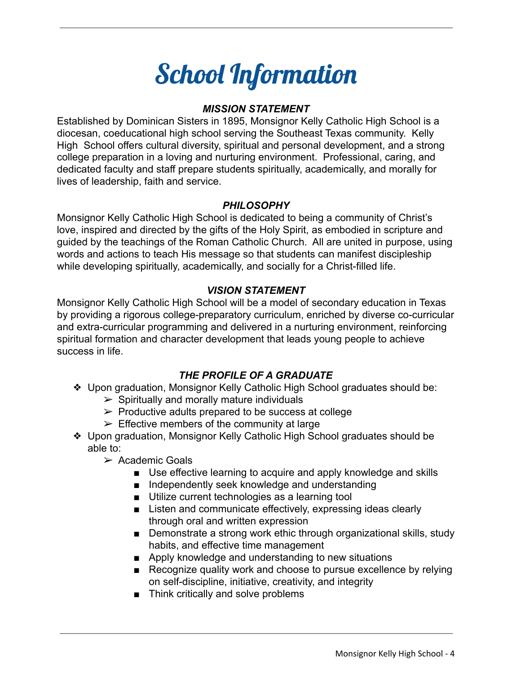### School Information

#### *MISSION STATEMENT*

Established by Dominican Sisters in 1895, Monsignor Kelly Catholic High School is a diocesan, coeducational high school serving the Southeast Texas community. Kelly High School offers cultural diversity, spiritual and personal development, and a strong college preparation in a loving and nurturing environment. Professional, caring, and dedicated faculty and staff prepare students spiritually, academically, and morally for lives of leadership, faith and service.

#### *PHILOSOPHY*

Monsignor Kelly Catholic High School is dedicated to being a community of Christ's love, inspired and directed by the gifts of the Holy Spirit, as embodied in scripture and guided by the teachings of the Roman Catholic Church. All are united in purpose, using words and actions to teach His message so that students can manifest discipleship while developing spiritually, academically, and socially for a Christ-filled life.

#### *VISION STATEMENT*

Monsignor Kelly Catholic High School will be a model of secondary education in Texas by providing a rigorous college-preparatory curriculum, enriched by diverse co-curricular and extra-curricular programming and delivered in a nurturing environment, reinforcing spiritual formation and character development that leads young people to achieve success in life.

#### *THE PROFILE OF A GRADUATE*

- ❖ Upon graduation, Monsignor Kelly Catholic High School graduates should be:
	- $\triangleright$  Spiritually and morally mature individuals
	- $\triangleright$  Productive adults prepared to be success at college
	- $\triangleright$  Effective members of the community at large
- ❖ Upon graduation, Monsignor Kelly Catholic High School graduates should be able to:
	- $\triangleright$  Academic Goals
		- Use effective learning to acquire and apply knowledge and skills
		- Independently seek knowledge and understanding
		- Utilize current technologies as a learning tool
		- Listen and communicate effectively, expressing ideas clearly through oral and written expression
		- Demonstrate a strong work ethic through organizational skills, study habits, and effective time management
		- Apply knowledge and understanding to new situations
		- Recognize quality work and choose to pursue excellence by relying on self-discipline, initiative, creativity, and integrity
		- Think critically and solve problems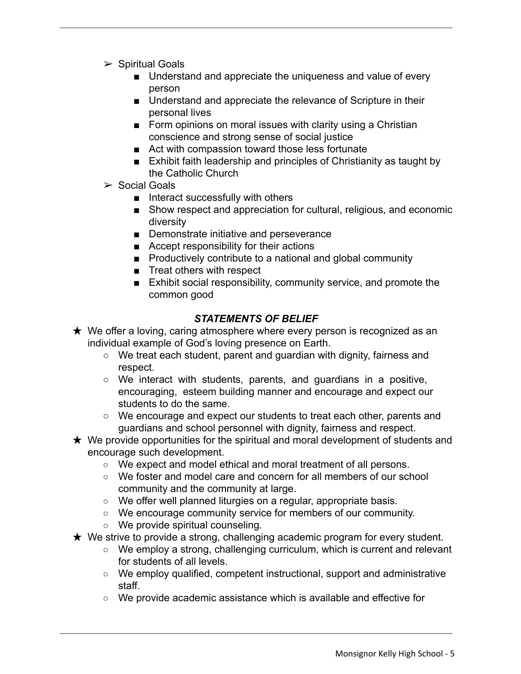- $\triangleright$  Spiritual Goals
	- Understand and appreciate the uniqueness and value of every person
	- Understand and appreciate the relevance of Scripture in their personal lives
	- Form opinions on moral issues with clarity using a Christian conscience and strong sense of social justice
	- Act with compassion toward those less fortunate
	- Exhibit faith leadership and principles of Christianity as taught by the Catholic Church
- $\triangleright$  Social Goals
	- Interact successfully with others
	- Show respect and appreciation for cultural, religious, and economic diversity
	- Demonstrate initiative and perseverance
	- Accept responsibility for their actions
	- Productively contribute to a national and global community
	- Treat others with respect
	- Exhibit social responsibility, community service, and promote the common good

#### *STATEMENTS OF BELIEF*

- $\star$  We offer a loving, caring atmosphere where every person is recognized as an individual example of God's loving presence on Earth.
	- We treat each student, parent and guardian with dignity, fairness and respect.
	- $\circ$  We interact with students, parents, and quardians in a positive, encouraging, esteem building manner and encourage and expect our students to do the same.
	- We encourage and expect our students to treat each other, parents and guardians and school personnel with dignity, fairness and respect.
- $\star$  We provide opportunities for the spiritual and moral development of students and encourage such development.
	- We expect and model ethical and moral treatment of all persons.
	- We foster and model care and concern for all members of our school community and the community at large.
	- We offer well planned liturgies on a regular, appropriate basis.
	- We encourage community service for members of our community.
	- We provide spiritual counseling.
- $\star$  We strive to provide a strong, challenging academic program for every student.
	- We employ a strong, challenging curriculum, which is current and relevant for students of all levels.
	- We employ qualified, competent instructional, support and administrative staff.
	- We provide academic assistance which is available and effective for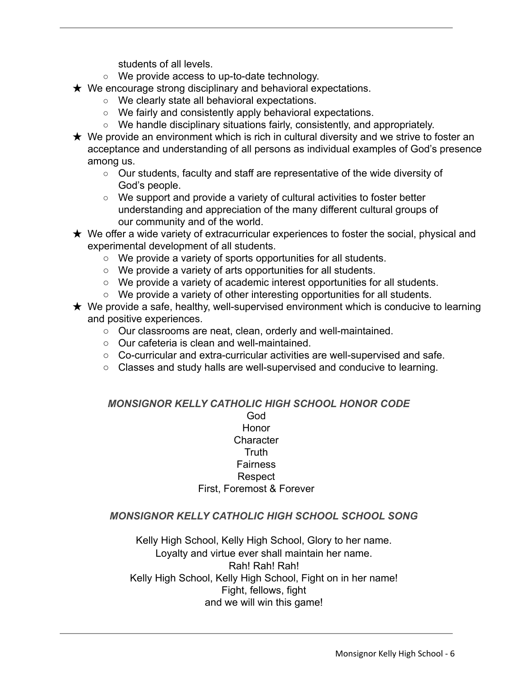students of all levels.

- We provide access to up-to-date technology.
- $\star$  We encourage strong disciplinary and behavioral expectations.
	- We clearly state all behavioral expectations.
	- We fairly and consistently apply behavioral expectations.
	- $\circ$  We handle disciplinary situations fairly, consistently, and appropriately.
- $\star$  We provide an environment which is rich in cultural diversity and we strive to foster an acceptance and understanding of all persons as individual examples of God's presence among us.
	- Our students, faculty and staff are representative of the wide diversity of God's people.
	- We support and provide a variety of cultural activities to foster better understanding and appreciation of the many different cultural groups of our community and of the world.
- $\star$  We offer a wide variety of extracurricular experiences to foster the social, physical and experimental development of all students.
	- We provide a variety of sports opportunities for all students.
	- We provide a variety of arts opportunities for all students.
	- We provide a variety of academic interest opportunities for all students.
	- We provide a variety of other interesting opportunities for all students.
- $\star$  We provide a safe, healthy, well-supervised environment which is conducive to learning and positive experiences.
	- Our classrooms are neat, clean, orderly and well-maintained.
	- Our cafeteria is clean and well-maintained.
	- $\circ$  Co-curricular and extra-curricular activities are well-supervised and safe.
	- Classes and study halls are well-supervised and conducive to learning.

#### *MONSIGNOR KELLY CATHOLIC HIGH SCHOOL HONOR CODE*

#### God Honor **Character Truth** Fairness Respect First, Foremost & Forever

#### *MONSIGNOR KELLY CATHOLIC HIGH SCHOOL SCHOOL SONG*

Kelly High School, Kelly High School, Glory to her name. Loyalty and virtue ever shall maintain her name. Rah! Rah! Rah! Kelly High School, Kelly High School, Fight on in her name! Fight, fellows, fight and we will win this game!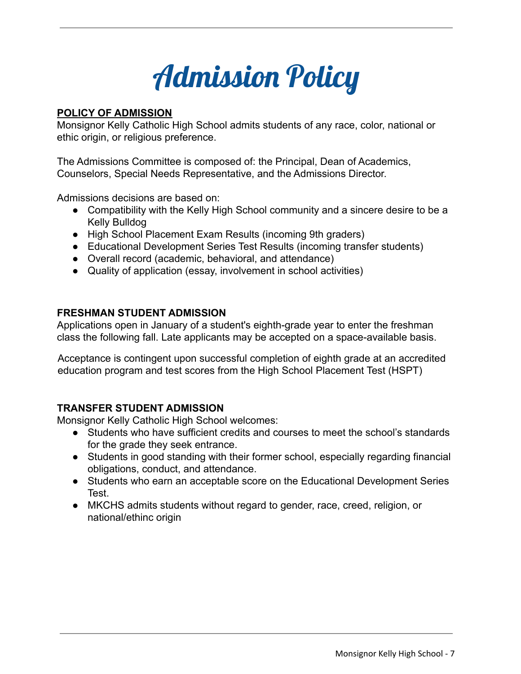

#### **POLICY OF ADMISSION**

Monsignor Kelly Catholic High School admits students of any race, color, national or ethic origin, or religious preference.

The Admissions Committee is composed of: the Principal, Dean of Academics, Counselors, Special Needs Representative, and the Admissions Director.

Admissions decisions are based on:

- Compatibility with the Kelly High School community and a sincere desire to be a Kelly Bulldog
- High School Placement Exam Results (incoming 9th graders)
- Educational Development Series Test Results (incoming transfer students)
- Overall record (academic, behavioral, and attendance)
- Quality of application (essay, involvement in school activities)

#### **FRESHMAN STUDENT ADMISSION**

Applications open in January of a student's eighth-grade year to enter the freshman class the following fall. Late applicants may be accepted on a space-available basis.

Acceptance is contingent upon successful completion of eighth grade at an accredited education program and test scores from the High School Placement Test (HSPT)

#### **TRANSFER STUDENT ADMISSION**

Monsignor Kelly Catholic High School welcomes:

- Students who have sufficient credits and courses to meet the school's standards for the grade they seek entrance.
- Students in good standing with their former school, especially regarding financial obligations, conduct, and attendance.
- Students who earn an acceptable score on the Educational Development Series Test.
- MKCHS admits students without regard to gender, race, creed, religion, or national/ethinc origin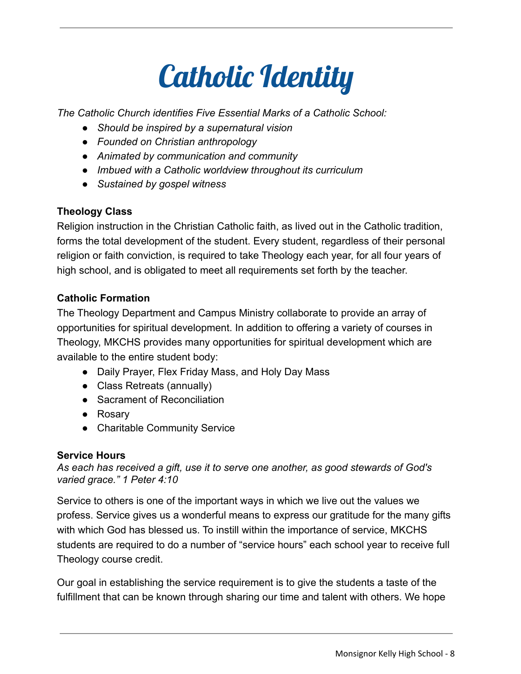

*The Catholic Church identifies Five Essential Marks of a Catholic School:*

- *● Should be inspired by a supernatural vision*
- *● Founded on Christian anthropology*
- *● Animated by communication and community*
- *● Imbued with a Catholic worldview throughout its curriculum*
- *● Sustained by gospel witness*

#### **Theology Class**

Religion instruction in the Christian Catholic faith, as lived out in the Catholic tradition, forms the total development of the student. Every student, regardless of their personal religion or faith conviction, is required to take Theology each year, for all four years of high school, and is obligated to meet all requirements set forth by the teacher.

#### **Catholic Formation**

The Theology Department and Campus Ministry collaborate to provide an array of opportunities for spiritual development. In addition to offering a variety of courses in Theology, MKCHS provides many opportunities for spiritual development which are available to the entire student body:

- Daily Prayer, Flex Friday Mass, and Holy Day Mass
- Class Retreats (annually)
- Sacrament of Reconciliation
- Rosary
- Charitable Community Service

#### **Service Hours**

*As each has received a gift, use it to serve one another, as good stewards of God's varied grace." 1 Peter 4:10*

Service to others is one of the important ways in which we live out the values we profess. Service gives us a wonderful means to express our gratitude for the many gifts with which God has blessed us. To instill within the importance of service, MKCHS students are required to do a number of "service hours" each school year to receive full Theology course credit.

Our goal in establishing the service requirement is to give the students a taste of the fulfillment that can be known through sharing our time and talent with others. We hope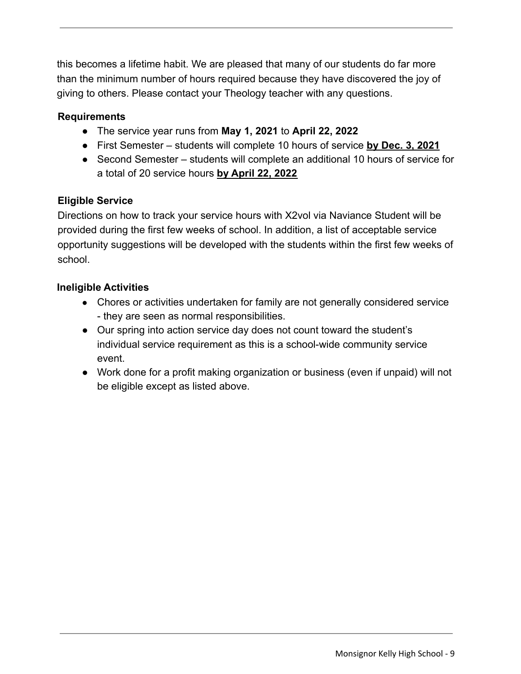this becomes a lifetime habit. We are pleased that many of our students do far more than the minimum number of hours required because they have discovered the joy of giving to others. Please contact your Theology teacher with any questions.

#### **Requirements**

- The service year runs from **May 1, 2021** to **April 22, 2022**
- First Semester students will complete 10 hours of service **by Dec. 3, 2021**
- Second Semester students will complete an additional 10 hours of service for a total of 20 service hours **by April 22, 2022**

#### **Eligible Service**

Directions on how to track your service hours with X2vol via Naviance Student will be provided during the first few weeks of school. In addition, a list of acceptable service opportunity suggestions will be developed with the students within the first few weeks of school.

#### **Ineligible Activities**

- Chores or activities undertaken for family are not generally considered service - they are seen as normal responsibilities.
- Our spring into action service day does not count toward the student's individual service requirement as this is a school-wide community service event.
- Work done for a profit making organization or business (even if unpaid) will not be eligible except as listed above.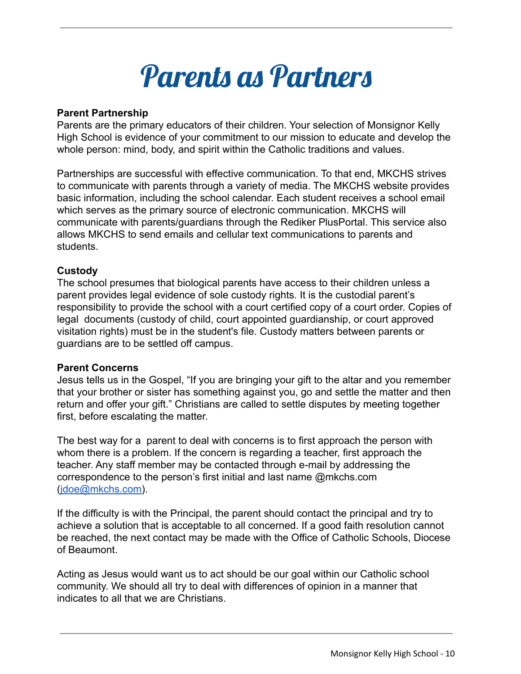

#### **Parent Partnership**

Parents are the primary educators of their children. Your selection of Monsignor Kelly High School is evidence of your commitment to our mission to educate and develop the whole person: mind, body, and spirit within the Catholic traditions and values.

Partnerships are successful with effective communication. To that end, MKCHS strives to communicate with parents through a variety of media. The MKCHS website provides basic information, including the school calendar. Each student receives a school email which serves as the primary source of electronic communication. MKCHS will communicate with parents/guardians through the Rediker PlusPortal. This service also allows MKCHS to send emails and cellular text communications to parents and students.

#### **Custody**

The school presumes that biological parents have access to their children unless a parent provides legal evidence of sole custody rights. It is the custodial parent's responsibility to provide the school with a court certified copy of a court order. Copies of legal documents (custody of child, court appointed guardianship, or court approved visitation rights) must be in the student's file. Custody matters between parents or guardians are to be settled off campus.

#### **Parent Concerns**

Jesus tells us in the Gospel, "If you are bringing your gift to the altar and you remember that your brother or sister has something against you, go and settle the matter and then return and offer your gift." Christians are called to settle disputes by meeting together first, before escalating the matter.

The best way for a parent to deal with concerns is to first approach the person with whom there is a problem. If the concern is regarding a teacher, first approach the teacher. Any staff member may be contacted through e-mail by addressing the correspondence to the person's first initial and last name @mkchs.com ([jdoe@mkchs.com\)](mailto:jdoe@mkchs.com).

If the difficulty is with the Principal, the parent should contact the principal and try to achieve a solution that is acceptable to all concerned. If a good faith resolution cannot be reached, the next contact may be made with the Office of Catholic Schools, Diocese of Beaumont.

Acting as Jesus would want us to act should be our goal within our Catholic school community. We should all try to deal with differences of opinion in a manner that indicates to all that we are Christians.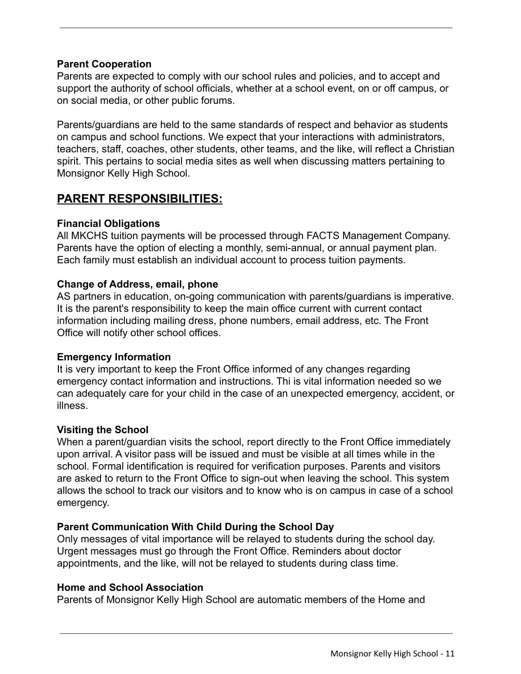#### **Parent Cooperation**

Parents are expected to comply with our school rules and policies, and to accept and support the authority of school officials, whether at a school event, on or off campus, or on social media, or other public forums.

Parents/guardians are held to the same standards of respect and behavior as students on campus and school functions. We expect that your interactions with administrators, teachers, staff, coaches, other students, other teams, and the like, will reflect a Christian spirit. This pertains to social media sites as well when discussing matters pertaining to Monsignor Kelly High School.

#### **PARENT RESPONSIBILITIES:**

#### **Financial Obligations**

All MKCHS tuition payments will be processed through FACTS Management Company. Parents have the option of electing a monthly, semi-annual, or annual payment plan. Each family must establish an individual account to process tuition payments.

#### **Change of Address, email, phone**

AS partners in education, on-going communication with parents/guardians is imperative. It is the parent's responsibility to keep the main office current with current contact information including mailing dress, phone numbers, email address, etc. The Front Office will notify other school offices.

#### **Emergency Information**

It is very important to keep the Front Office informed of any changes regarding emergency contact information and instructions. Thi is vital information needed so we can adequately care for your child in the case of an unexpected emergency, accident, or illness.

#### **Visiting the School**

When a parent/guardian visits the school, report directly to the Front Office immediately upon arrival. A visitor pass will be issued and must be visible at all times while in the school. Formal identification is required for verification purposes. Parents and visitors are asked to return to the Front Office to sign-out when leaving the school. This system allows the school to track our visitors and to know who is on campus in case of a school emergency.

#### **Parent Communication With Child During the School Day**

Only messages of vital importance will be relayed to students during the school day. Urgent messages must go through the Front Office. Reminders about doctor appointments, and the like, will not be relayed to students during class time.

#### **Home and School Association**

Parents of Monsignor Kelly High School are automatic members of the Home and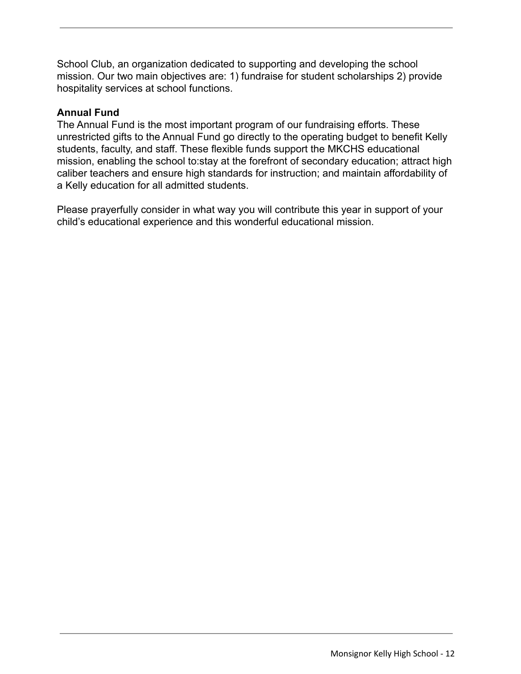School Club, an organization dedicated to supporting and developing the school mission. Our two main objectives are: 1) fundraise for student scholarships 2) provide hospitality services at school functions.

#### **Annual Fund**

The Annual Fund is the most important program of our fundraising efforts. These unrestricted gifts to the Annual Fund go directly to the operating budget to benefit Kelly students, faculty, and staff. These flexible funds support the MKCHS educational mission, enabling the school to:stay at the forefront of secondary education; attract high caliber teachers and ensure high standards for instruction; and maintain affordability of a Kelly education for all admitted students.

Please prayerfully consider in what way you will contribute this year in support of your child's educational experience and this wonderful educational mission.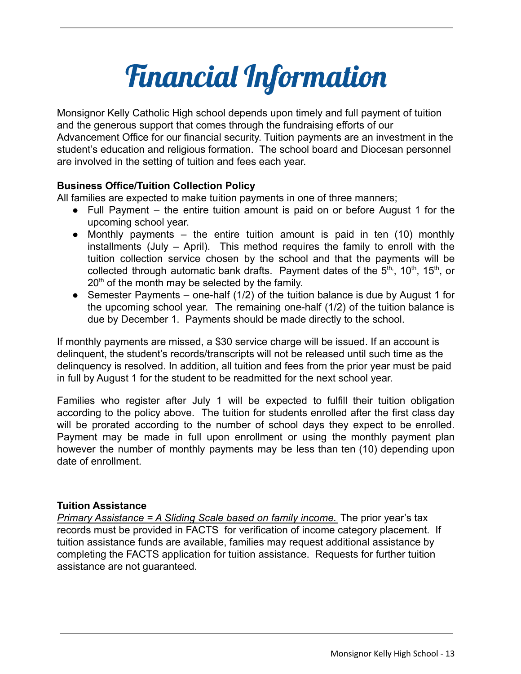### Financial Information

Monsignor Kelly Catholic High school depends upon timely and full payment of tuition and the generous support that comes through the fundraising efforts of our Advancement Office for our financial security. Tuition payments are an investment in the student's education and religious formation. The school board and Diocesan personnel are involved in the setting of tuition and fees each year.

#### **Business Office/Tuition Collection Policy**

All families are expected to make tuition payments in one of three manners;

- Full Payment the entire tuition amount is paid on or before August 1 for the upcoming school year.
- Monthly payments the entire tuition amount is paid in ten  $(10)$  monthly installments (July – April). This method requires the family to enroll with the tuition collection service chosen by the school and that the payments will be collected through automatic bank drafts. Payment dates of the  $5<sup>th</sup>$ , 10<sup>th</sup>, 15<sup>th</sup>, or  $20<sup>th</sup>$  of the month may be selected by the family.
- Semester Payments one-half (1/2) of the tuition balance is due by August 1 for the upcoming school year. The remaining one-half (1/2) of the tuition balance is due by December 1. Payments should be made directly to the school.

If monthly payments are missed, a \$30 service charge will be issued. If an account is delinquent, the student's records/transcripts will not be released until such time as the delinquency is resolved. In addition, all tuition and fees from the prior year must be paid in full by August 1 for the student to be readmitted for the next school year.

Families who register after July 1 will be expected to fulfill their tuition obligation according to the policy above. The tuition for students enrolled after the first class day will be prorated according to the number of school days they expect to be enrolled. Payment may be made in full upon enrollment or using the monthly payment plan however the number of monthly payments may be less than ten (10) depending upon date of enrollment.

#### **Tuition Assistance**

*Primary Assistance = A Sliding Scale based on family income.* The prior year's tax records must be provided in FACTS for verification of income category placement. If tuition assistance funds are available, families may request additional assistance by completing the FACTS application for tuition assistance. Requests for further tuition assistance are not guaranteed.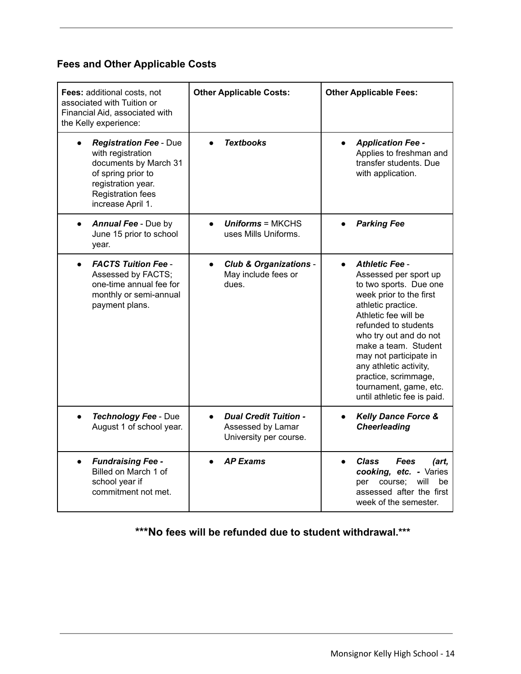#### **Fees and Other Applicable Costs**

| Fees: additional costs, not<br>associated with Tuition or<br>Financial Aid, associated with<br>the Kelly experience:                                                     | <b>Other Applicable Costs:</b>                                              | <b>Other Applicable Fees:</b>                                                                                                                                                                                                                                                                                                                                                 |
|--------------------------------------------------------------------------------------------------------------------------------------------------------------------------|-----------------------------------------------------------------------------|-------------------------------------------------------------------------------------------------------------------------------------------------------------------------------------------------------------------------------------------------------------------------------------------------------------------------------------------------------------------------------|
| <b>Registration Fee - Due</b><br>with registration<br>documents by March 31<br>of spring prior to<br>registration year.<br><b>Registration fees</b><br>increase April 1. | <b>Textbooks</b>                                                            | <b>Application Fee -</b><br>$\bullet$<br>Applies to freshman and<br>transfer students. Due<br>with application.                                                                                                                                                                                                                                                               |
| <b>Annual Fee - Due by</b><br>June 15 prior to school<br>year.                                                                                                           | $Uniforms = MKCHS$<br>uses Mills Uniforms.                                  | <b>Parking Fee</b>                                                                                                                                                                                                                                                                                                                                                            |
| <b>FACTS Tuition Fee -</b><br>Assessed by FACTS;<br>one-time annual fee for<br>monthly or semi-annual<br>payment plans.                                                  | <b>Club &amp; Organizations -</b><br>May include fees or<br>dues.           | <b>Athletic Fee -</b><br>$\bullet$<br>Assessed per sport up<br>to two sports. Due one<br>week prior to the first<br>athletic practice.<br>Athletic fee will be<br>refunded to students<br>who try out and do not<br>make a team. Student<br>may not participate in<br>any athletic activity,<br>practice, scrimmage,<br>tournament, game, etc.<br>until athletic fee is paid. |
| <b>Technology Fee - Due</b><br>$\bullet$<br>August 1 of school year.                                                                                                     | <b>Dual Credit Tuition -</b><br>Assessed by Lamar<br>University per course. | <b>Kelly Dance Force &amp;</b><br>$\bullet$<br><b>Cheerleading</b>                                                                                                                                                                                                                                                                                                            |
| <b>Fundraising Fee -</b><br>Billed on March 1 of<br>school year if<br>commitment not met.                                                                                | <b>AP Exams</b>                                                             | <b>Class</b><br><b>Fees</b><br>(art,<br>cooking, etc. - Varies<br>will<br>per course;<br>be<br>assessed after the first<br>week of the semester.                                                                                                                                                                                                                              |

**\*\*\*No fees will be refunded due to student withdrawal.\*\*\***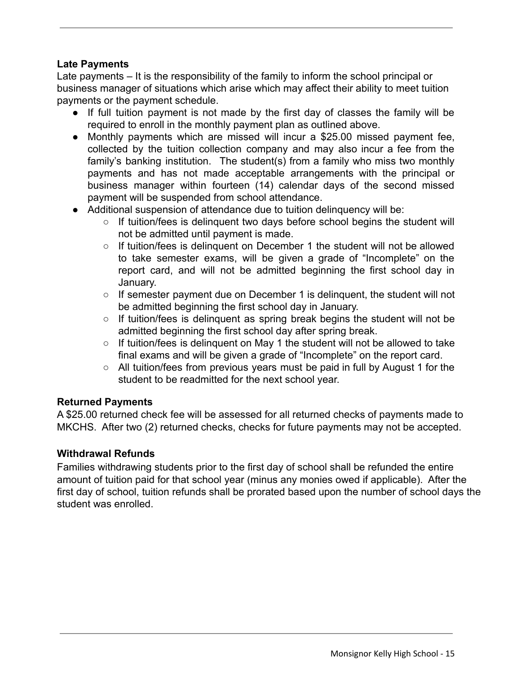#### **Late Payments**

Late payments – It is the responsibility of the family to inform the school principal or business manager of situations which arise which may affect their ability to meet tuition payments or the payment schedule.

- If full tuition payment is not made by the first day of classes the family will be required to enroll in the monthly payment plan as outlined above.
- Monthly payments which are missed will incur a \$25.00 missed payment fee, collected by the tuition collection company and may also incur a fee from the family's banking institution. The student(s) from a family who miss two monthly payments and has not made acceptable arrangements with the principal or business manager within fourteen (14) calendar days of the second missed payment will be suspended from school attendance.
- Additional suspension of attendance due to tuition delinguency will be:
	- If tuition/fees is delinquent two days before school begins the student will not be admitted until payment is made.
	- If tuition/fees is delinguent on December 1 the student will not be allowed to take semester exams, will be given a grade of "Incomplete" on the report card, and will not be admitted beginning the first school day in January.
	- If semester payment due on December 1 is delinquent, the student will not be admitted beginning the first school day in January.
	- If tuition/fees is delinguent as spring break begins the student will not be admitted beginning the first school day after spring break.
	- If tuition/fees is delinguent on May 1 the student will not be allowed to take final exams and will be given a grade of "Incomplete" on the report card.
	- All tuition/fees from previous years must be paid in full by August 1 for the student to be readmitted for the next school year.

#### **Returned Payments**

A \$25.00 returned check fee will be assessed for all returned checks of payments made to MKCHS. After two (2) returned checks, checks for future payments may not be accepted.

#### **Withdrawal Refunds**

Families withdrawing students prior to the first day of school shall be refunded the entire amount of tuition paid for that school year (minus any monies owed if applicable). After the first day of school, tuition refunds shall be prorated based upon the number of school days the student was enrolled.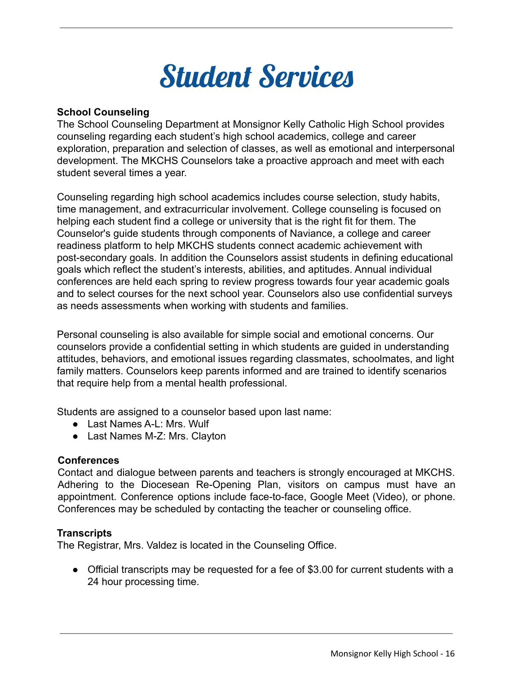

#### **School Counseling**

The School Counseling Department at Monsignor Kelly Catholic High School provides counseling regarding each student's high school academics, college and career exploration, preparation and selection of classes, as well as emotional and interpersonal development. The MKCHS Counselors take a proactive approach and meet with each student several times a year.

Counseling regarding high school academics includes course selection, study habits, time management, and extracurricular involvement. College counseling is focused on helping each student find a college or university that is the right fit for them. The Counselor's guide students through components of Naviance, a college and career readiness platform to help MKCHS students connect academic achievement with post-secondary goals. In addition the Counselors assist students in defining educational goals which reflect the student's interests, abilities, and aptitudes. Annual individual conferences are held each spring to review progress towards four year academic goals and to select courses for the next school year. Counselors also use confidential surveys as needs assessments when working with students and families.

Personal counseling is also available for simple social and emotional concerns. Our counselors provide a confidential setting in which students are guided in understanding attitudes, behaviors, and emotional issues regarding classmates, schoolmates, and light family matters. Counselors keep parents informed and are trained to identify scenarios that require help from a mental health professional.

Students are assigned to a counselor based upon last name:

- Last Names A-L: Mrs. Wulf
- Last Names M-Z: Mrs. Clayton

#### **Conferences**

Contact and dialogue between parents and teachers is strongly encouraged at MKCHS. Adhering to the Diocesean Re-Opening Plan, visitors on campus must have an appointment. Conference options include face-to-face, Google Meet (Video), or phone. Conferences may be scheduled by contacting the teacher or counseling office.

#### **Transcripts**

The Registrar, Mrs. Valdez is located in the Counseling Office.

● Official transcripts may be requested for a fee of \$3.00 for current students with a 24 hour processing time.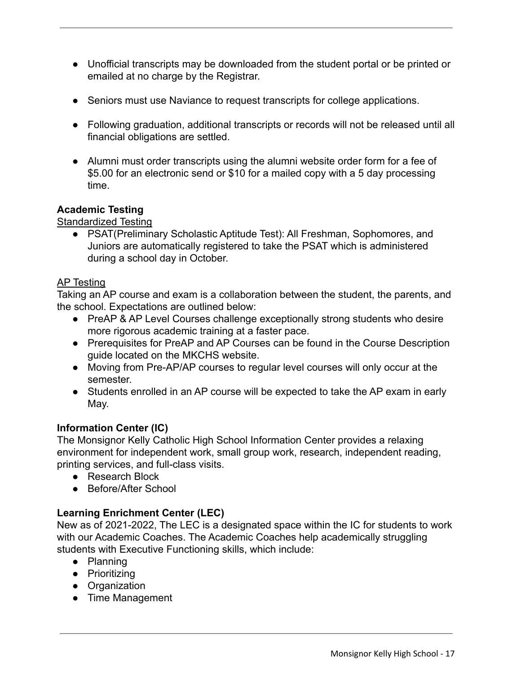- Unofficial transcripts may be downloaded from the student portal or be printed or emailed at no charge by the Registrar.
- Seniors must use Naviance to request transcripts for college applications.
- Following graduation, additional transcripts or records will not be released until all financial obligations are settled.
- Alumni must order transcripts using the alumni website order form for a fee of \$5.00 for an electronic send or \$10 for a mailed copy with a 5 day processing time.

#### **Academic Testing**

Standardized Testing

● PSAT(Preliminary Scholastic Aptitude Test): All Freshman, Sophomores, and Juniors are automatically registered to take the PSAT which is administered during a school day in October.

#### AP Testing

Taking an AP course and exam is a collaboration between the student, the parents, and the school. Expectations are outlined below:

- PreAP & AP Level Courses challenge exceptionally strong students who desire more rigorous academic training at a faster pace.
- Prerequisites for PreAP and AP Courses can be found in the Course Description guide located on the MKCHS website.
- Moving from Pre-AP/AP courses to regular level courses will only occur at the semester.
- Students enrolled in an AP course will be expected to take the AP exam in early May.

#### **Information Center (IC)**

The Monsignor Kelly Catholic High School Information Center provides a relaxing environment for independent work, small group work, research, independent reading, printing services, and full-class visits.

- Research Block
- Before/After School

#### **Learning Enrichment Center (LEC)**

New as of 2021-2022, The LEC is a designated space within the IC for students to work with our Academic Coaches. The Academic Coaches help academically struggling students with Executive Functioning skills, which include:

- Planning
- Prioritizing
- Organization
- Time Management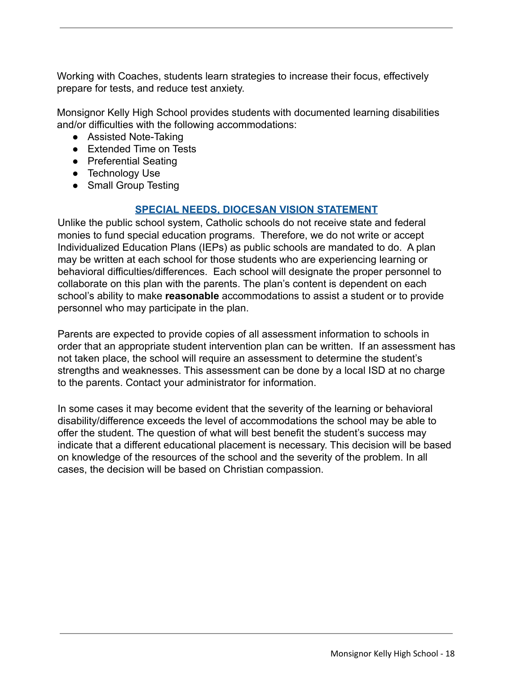Working with Coaches, students learn strategies to increase their focus, effectively prepare for tests, and reduce test anxiety.

Monsignor Kelly High School provides students with documented learning disabilities and/or difficulties with the following accommodations:

- Assisted Note-Taking
- Extended Time on Tests
- Preferential Seating
- Technology Use
- Small Group Testing

#### **SPECIAL NEEDS, DIOCESAN VISION STATEMENT**

Unlike the public school system, Catholic schools do not receive state and federal monies to fund special education programs. Therefore, we do not write or accept Individualized Education Plans (IEPs) as public schools are mandated to do. A plan may be written at each school for those students who are experiencing learning or behavioral difficulties/differences. Each school will designate the proper personnel to collaborate on this plan with the parents. The plan's content is dependent on each school's ability to make **reasonable** accommodations to assist a student or to provide personnel who may participate in the plan.

Parents are expected to provide copies of all assessment information to schools in order that an appropriate student intervention plan can be written. If an assessment has not taken place, the school will require an assessment to determine the student's strengths and weaknesses. This assessment can be done by a local ISD at no charge to the parents. Contact your administrator for information.

In some cases it may become evident that the severity of the learning or behavioral disability/difference exceeds the level of accommodations the school may be able to offer the student. The question of what will best benefit the student's success may indicate that a different educational placement is necessary. This decision will be based on knowledge of the resources of the school and the severity of the problem. In all cases, the decision will be based on Christian compassion.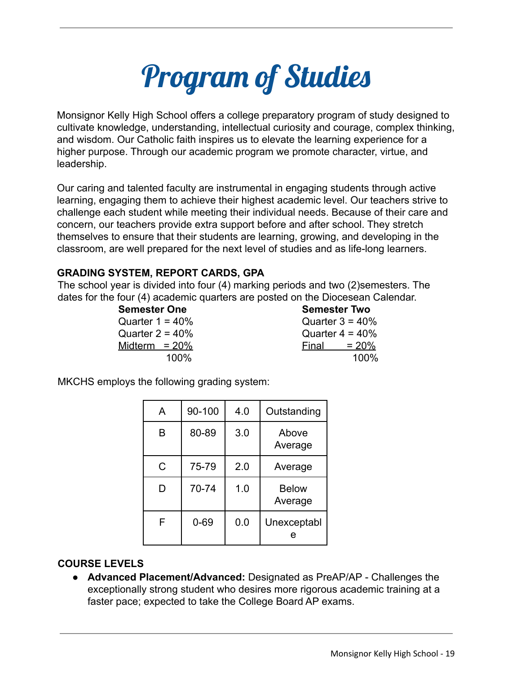

Monsignor Kelly High School offers a college preparatory program of study designed to cultivate knowledge, understanding, intellectual curiosity and courage, complex thinking, and wisdom. Our Catholic faith inspires us to elevate the learning experience for a higher purpose. Through our academic program we promote character, virtue, and leadership.

Our caring and talented faculty are instrumental in engaging students through active learning, engaging them to achieve their highest academic level. Our teachers strive to challenge each student while meeting their individual needs. Because of their care and concern, our teachers provide extra support before and after school. They stretch themselves to ensure that their students are learning, growing, and developing in the classroom, are well prepared for the next level of studies and as life-long learners.

#### **GRADING SYSTEM, REPORT CARDS, GPA**

The school year is divided into four (4) marking periods and two (2)semesters. The dates for the four (4) academic quarters are posted on the Diocesean Calendar.

**Semester One Semester Two**

 $Quarter 1 = 40%$  Quarter 3 = 40% Quarter  $2 = 40\%$  Quarter  $4 = 40\%$  $Midterm = 20\%$  Final =  $20\%$ 100% 100%

MKCHS employs the following grading system:

| A | 90-100   | 4.0 | Outstanding             |
|---|----------|-----|-------------------------|
| B | 80-89    | 3.0 | Above<br>Average        |
| C | 75-79    | 2.0 | Average                 |
| D | 70-74    | 1.0 | <b>Below</b><br>Average |
| F | $0 - 69$ | 0.0 | Unexceptabl<br>е        |

#### **COURSE LEVELS**

● **Advanced Placement/Advanced:** Designated as PreAP/AP - Challenges the exceptionally strong student who desires more rigorous academic training at a faster pace; expected to take the College Board AP exams.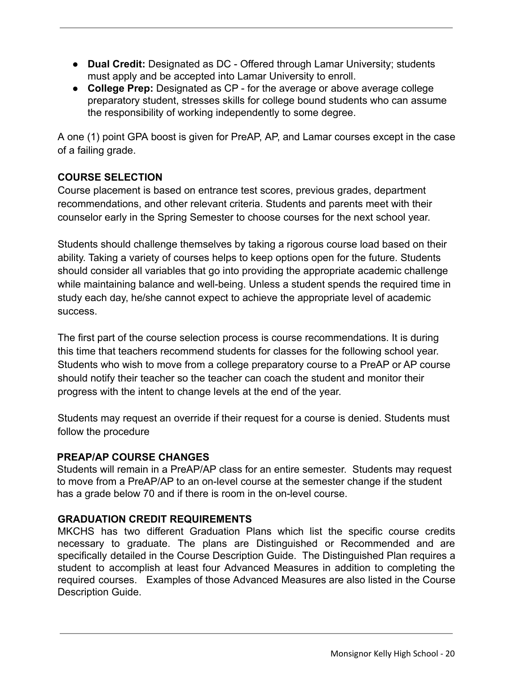- **Dual Credit:** Designated as DC Offered through Lamar University; students must apply and be accepted into Lamar University to enroll.
- **● College Prep:** Designated as CP for the average or above average college preparatory student, stresses skills for college bound students who can assume the responsibility of working independently to some degree.

A one (1) point GPA boost is given for PreAP, AP, and Lamar courses except in the case of a failing grade.

#### **COURSE SELECTION**

Course placement is based on entrance test scores, previous grades, department recommendations, and other relevant criteria. Students and parents meet with their counselor early in the Spring Semester to choose courses for the next school year.

Students should challenge themselves by taking a rigorous course load based on their ability. Taking a variety of courses helps to keep options open for the future. Students should consider all variables that go into providing the appropriate academic challenge while maintaining balance and well-being. Unless a student spends the required time in study each day, he/she cannot expect to achieve the appropriate level of academic success.

The first part of the course selection process is course recommendations. It is during this time that teachers recommend students for classes for the following school year. Students who wish to move from a college preparatory course to a PreAP or AP course should notify their teacher so the teacher can coach the student and monitor their progress with the intent to change levels at the end of the year.

Students may request an override if their request for a course is denied. Students must follow the procedure

#### **PREAP/AP COURSE CHANGES**

Students will remain in a PreAP/AP class for an entire semester. Students may request to move from a PreAP/AP to an on-level course at the semester change if the student has a grade below 70 and if there is room in the on-level course.

#### **GRADUATION CREDIT REQUIREMENTS**

MKCHS has two different Graduation Plans which list the specific course credits necessary to graduate. The plans are Distinguished or Recommended and are specifically detailed in the Course Description Guide. The Distinguished Plan requires a student to accomplish at least four Advanced Measures in addition to completing the required courses. Examples of those Advanced Measures are also listed in the Course Description Guide.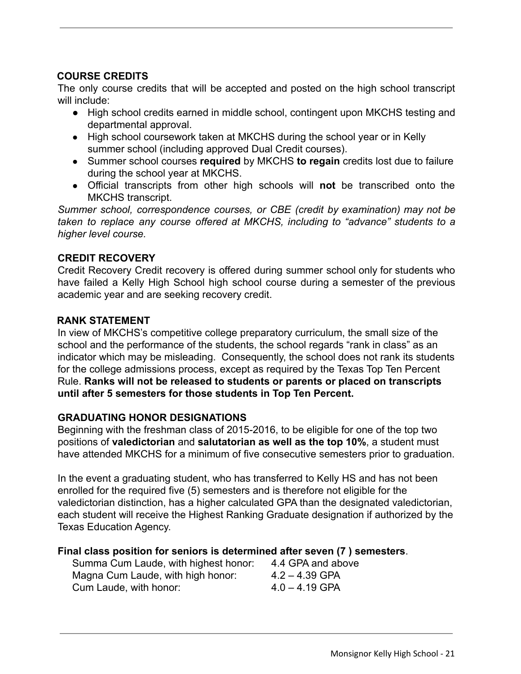#### **COURSE CREDITS**

The only course credits that will be accepted and posted on the high school transcript will include:

- High school credits earned in middle school, contingent upon MKCHS testing and departmental approval.
- High school coursework taken at MKCHS during the school year or in Kelly summer school (including approved Dual Credit courses).
- Summer school courses **required** by MKCHS **to regain** credits lost due to failure during the school year at MKCHS.
- Official transcripts from other high schools will **not** be transcribed onto the MKCHS transcript.

*Summer school, correspondence courses, or CBE (credit by examination) may not be taken to replace any course offered at MKCHS, including to "advance" students to a higher level course.*

#### **CREDIT RECOVERY**

Credit Recovery Credit recovery is offered during summer school only for students who have failed a Kelly High School high school course during a semester of the previous academic year and are seeking recovery credit.

#### **RANK STATEMENT**

In view of MKCHS's competitive college preparatory curriculum, the small size of the school and the performance of the students, the school regards "rank in class" as an indicator which may be misleading. Consequently, the school does not rank its students for the college admissions process, except as required by the Texas Top Ten Percent Rule. **Ranks will not be released to students or parents or placed on transcripts until after 5 semesters for those students in Top Ten Percent.**

#### **GRADUATING HONOR DESIGNATIONS**

Beginning with the freshman class of 2015-2016, to be eligible for one of the top two positions of **valedictorian** and **salutatorian as well as the top 10%**, a student must have attended MKCHS for a minimum of five consecutive semesters prior to graduation.

In the event a graduating student, who has transferred to Kelly HS and has not been enrolled for the required five (5) semesters and is therefore not eligible for the valedictorian distinction, has a higher calculated GPA than the designated valedictorian, each student will receive the Highest Ranking Graduate designation if authorized by the Texas Education Agency.

#### **Final class position for seniors is determined after seven (7 ) semesters**.

| Summa Cum Laude, with highest honor: | 4.4 GPA and above |
|--------------------------------------|-------------------|
| Magna Cum Laude, with high honor:    | $4.2 - 4.39$ GPA  |
| Cum Laude, with honor:               | $4.0 - 4.19$ GPA  |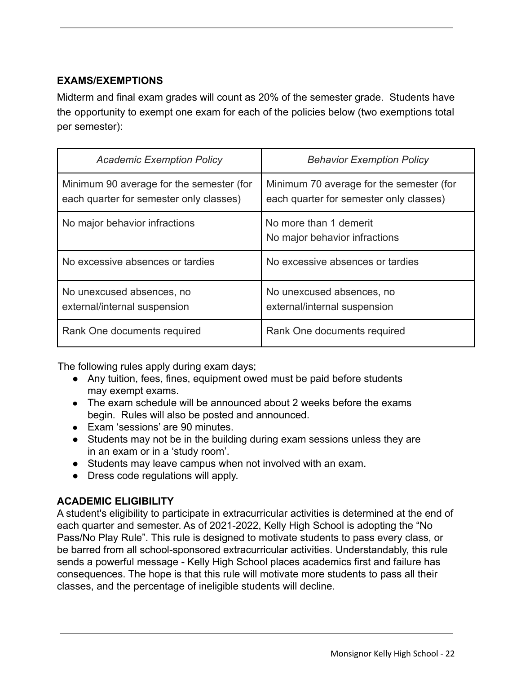#### **EXAMS/EXEMPTIONS**

Midterm and final exam grades will count as 20% of the semester grade. Students have the opportunity to exempt one exam for each of the policies below (two exemptions total per semester):

| <b>Academic Exemption Policy</b>                                                    | <b>Behavior Exemption Policy</b>                                                    |
|-------------------------------------------------------------------------------------|-------------------------------------------------------------------------------------|
| Minimum 90 average for the semester (for<br>each quarter for semester only classes) | Minimum 70 average for the semester (for<br>each quarter for semester only classes) |
| No major behavior infractions                                                       | No more than 1 demerit<br>No major behavior infractions                             |
| No excessive absences or tardies                                                    | No excessive absences or tardies                                                    |
| No unexcused absences, no<br>external/internal suspension                           | No unexcused absences, no<br>external/internal suspension                           |
| Rank One documents required                                                         | Rank One documents required                                                         |

The following rules apply during exam days;

- Any tuition, fees, fines, equipment owed must be paid before students may exempt exams.
- The exam schedule will be announced about 2 weeks before the exams begin. Rules will also be posted and announced.
- Exam 'sessions' are 90 minutes.
- Students may not be in the building during exam sessions unless they are in an exam or in a 'study room'.
- Students may leave campus when not involved with an exam.
- Dress code regulations will apply.

#### **ACADEMIC ELIGIBILITY**

A student's eligibility to participate in extracurricular activities is determined at the end of each quarter and semester. As of 2021-2022, Kelly High School is adopting the "No Pass/No Play Rule". This rule is designed to motivate students to pass every class, or be barred from all school-sponsored extracurricular activities. Understandably, this rule sends a powerful message - Kelly High School places academics first and failure has consequences. The hope is that this rule will motivate more students to pass all their classes, and the percentage of ineligible students will decline.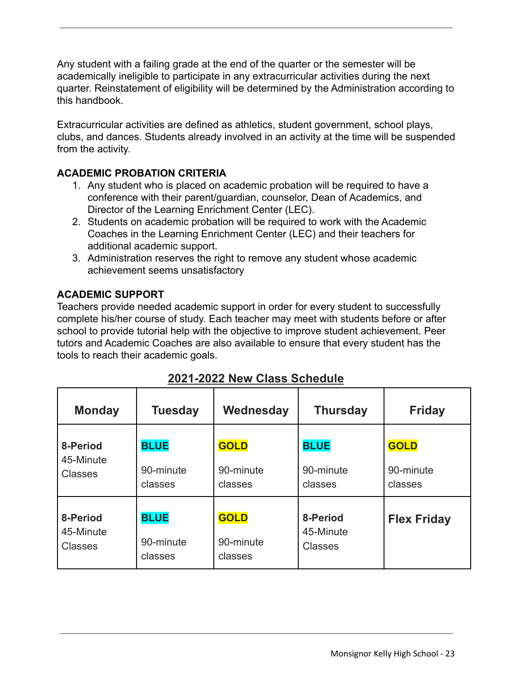Any student with a failing grade at the end of the quarter or the semester will be academically ineligible to participate in any extracurricular activities during the next quarter. Reinstatement of eligibility will be determined by the Administration according to this handbook.

Extracurricular activities are defined as athletics, student government, school plays, clubs, and dances. Students already involved in an activity at the time will be suspended from the activity.

#### **ACADEMIC PROBATION CRITERIA**

- 1. Any student who is placed on academic probation will be required to have a conference with their parent/guardian, counselor, Dean of Academics, and Director of the Learning Enrichment Center (LEC).
- 2. Students on academic probation will be required to work with the Academic Coaches in the Learning Enrichment Center (LEC) and their teachers for additional academic support.
- 3. Administration reserves the right to remove any student whose academic achievement seems unsatisfactory

#### **ACADEMIC SUPPORT**

Teachers provide needed academic support in order for every student to successfully complete his/her course of study. Each teacher may meet with students before or after school to provide tutorial help with the objective to improve student achievement. Peer tutors and Academic Coaches are also available to ensure that every student has the tools to reach their academic goals.

| <b>Monday</b>  | <b>Tuesday</b> | Wednesday   | <b>Thursday</b> | <b>Friday</b>      |
|----------------|----------------|-------------|-----------------|--------------------|
| 8-Period       | <b>BLUE</b>    | <b>GOLD</b> | <b>BLUE</b>     | <b>GOLD</b>        |
| 45-Minute      | 90-minute      | 90-minute   | 90-minute       | 90-minute          |
| <b>Classes</b> | classes        | classes     | classes         | classes            |
| 8-Period       | <b>BLUE</b>    | <b>GOLD</b> | 8-Period        | <b>Flex Friday</b> |
| 45-Minute      | 90-minute      | 90-minute   | 45-Minute       |                    |
| <b>Classes</b> | classes        | classes     | <b>Classes</b>  |                    |

| 2021-2022 New Class Schedule |  |  |
|------------------------------|--|--|
|                              |  |  |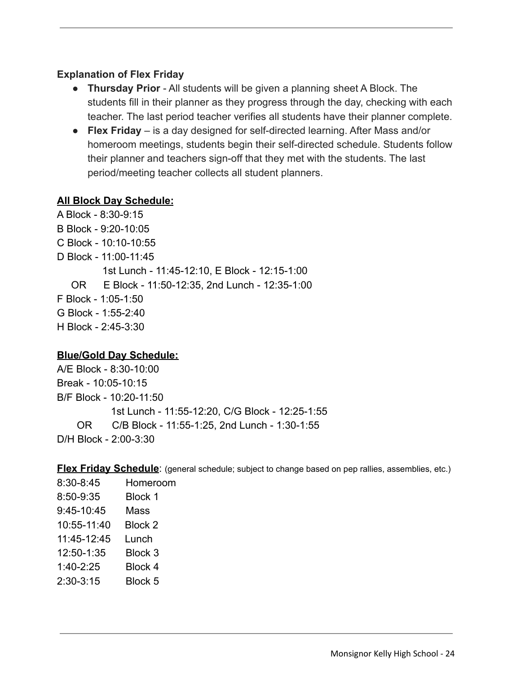#### **Explanation of Flex Friday**

- **Thursday Prior** All students will be given a planning sheet A Block. The students fill in their planner as they progress through the day, checking with each teacher. The last period teacher verifies all students have their planner complete.
- **Flex Friday** is a day designed for self-directed learning. After Mass and/or homeroom meetings, students begin their self-directed schedule. Students follow their planner and teachers sign-off that they met with the students. The last period/meeting teacher collects all student planners.

#### **All Block Day Schedule:**

A Block - 8:30-9:15 B Block - 9:20-10:05 C Block - 10:10-10:55 D Block - 11:00-11:45 1st Lunch - 11:45-12:10, E Block - 12:15-1:00 OR E Block - 11:50-12:35, 2nd Lunch - 12:35-1:00 F Block - 1:05-1:50 G Block - 1:55-2:40 H Block - 2:45-3:30

#### **Blue/Gold Day Schedule:**

A/E Block - 8:30-10:00 Break - 10:05-10:15 B/F Block - 10:20-11:50 1st Lunch - 11:55-12:20, C/G Block - 12:25-1:55 OR C/B Block - 11:55-1:25, 2nd Lunch - 1:30-1:55 D/H Block - 2:00-3:30

**Flex Friday Schedule:** (general schedule; subject to change based on pep rallies, assemblies, etc.)

| 8:30-8:45   | Homeroom       |
|-------------|----------------|
| 8:50-9:35   | <b>Block 1</b> |
| 9:45-10:45  | Mass           |
| 10:55-11:40 | Block 2        |
| 11:45-12:45 | Lunch          |
| 12:50-1:35  | Block 3        |
| 1:40-2:25   | Block 4        |
| 2:30-3:15   | Block 5        |
|             |                |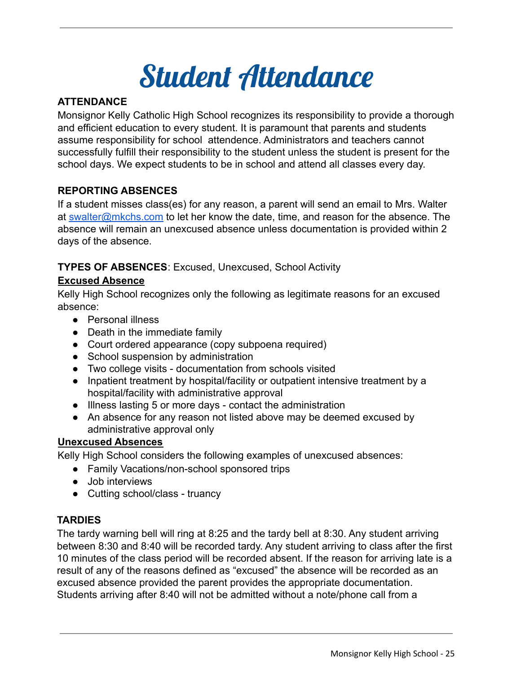### Student Attendance

#### **ATTENDANCE**

Monsignor Kelly Catholic High School recognizes its responsibility to provide a thorough and efficient education to every student. It is paramount that parents and students assume responsibility for school attendence. Administrators and teachers cannot successfully fulfill their responsibility to the student unless the student is present for the school days. We expect students to be in school and attend all classes every day.

#### **REPORTING ABSENCES**

If a student misses class(es) for any reason, a parent will send an email to Mrs. Walter at [swalter@mkchs.com](mailto:swalter@mkchs.com) to let her know the date, time, and reason for the absence. The absence will remain an unexcused absence unless documentation is provided within 2 days of the absence.

#### **TYPES OF ABSENCES**: Excused, Unexcused, School Activity

#### **Excused Absence**

Kelly High School recognizes only the following as legitimate reasons for an excused absence:

- Personal illness
- Death in the immediate family
- Court ordered appearance (copy subpoena required)
- School suspension by administration
- Two college visits documentation from schools visited
- Inpatient treatment by hospital/facility or outpatient intensive treatment by a hospital/facility with administrative approval
- Illness lasting 5 or more days contact the administration
- An absence for any reason not listed above may be deemed excused by administrative approval only

#### **Unexcused Absences**

Kelly High School considers the following examples of unexcused absences:

- Family Vacations/non-school sponsored trips
- Job interviews
- Cutting school/class truancy

#### **TARDIES**

The tardy warning bell will ring at 8:25 and the tardy bell at 8:30. Any student arriving between 8:30 and 8:40 will be recorded tardy. Any student arriving to class after the first 10 minutes of the class period will be recorded absent. If the reason for arriving late is a result of any of the reasons defined as "excused" the absence will be recorded as an excused absence provided the parent provides the appropriate documentation. Students arriving after 8:40 will not be admitted without a note/phone call from a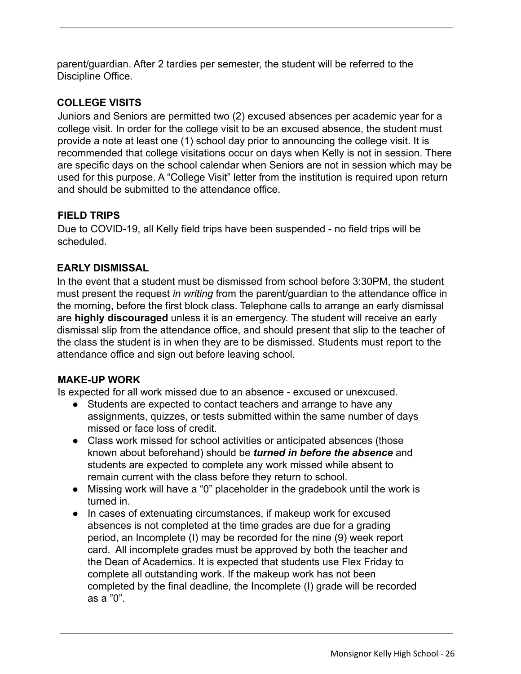parent/guardian. After 2 tardies per semester, the student will be referred to the Discipline Office.

#### **COLLEGE VISITS**

Juniors and Seniors are permitted two (2) excused absences per academic year for a college visit. In order for the college visit to be an excused absence, the student must provide a note at least one (1) school day prior to announcing the college visit. It is recommended that college visitations occur on days when Kelly is not in session. There are specific days on the school calendar when Seniors are not in session which may be used for this purpose. A "College Visit" letter from the institution is required upon return and should be submitted to the attendance office.

#### **FIELD TRIPS**

Due to COVID-19, all Kelly field trips have been suspended - no field trips will be scheduled.

#### **EARLY DISMISSAL**

In the event that a student must be dismissed from school before 3:30PM, the student must present the request *in writing* from the parent/guardian to the attendance office in the morning, before the first block class. Telephone calls to arrange an early dismissal are **highly discouraged** unless it is an emergency. The student will receive an early dismissal slip from the attendance office, and should present that slip to the teacher of the class the student is in when they are to be dismissed. Students must report to the attendance office and sign out before leaving school.

#### **MAKE-UP WORK**

Is expected for all work missed due to an absence - excused or unexcused.

- Students are expected to contact teachers and arrange to have any assignments, quizzes, or tests submitted within the same number of days missed or face loss of credit.
- Class work missed for school activities or anticipated absences (those known about beforehand) should be *turned in before the absence* and students are expected to complete any work missed while absent to remain current with the class before they return to school.
- Missing work will have a "0" placeholder in the gradebook until the work is turned in.
- In cases of extenuating circumstances, if makeup work for excused absences is not completed at the time grades are due for a grading period, an Incomplete (I) may be recorded for the nine (9) week report card. All incomplete grades must be approved by both the teacher and the Dean of Academics. It is expected that students use Flex Friday to complete all outstanding work. If the makeup work has not been completed by the final deadline, the Incomplete (I) grade will be recorded as a "0".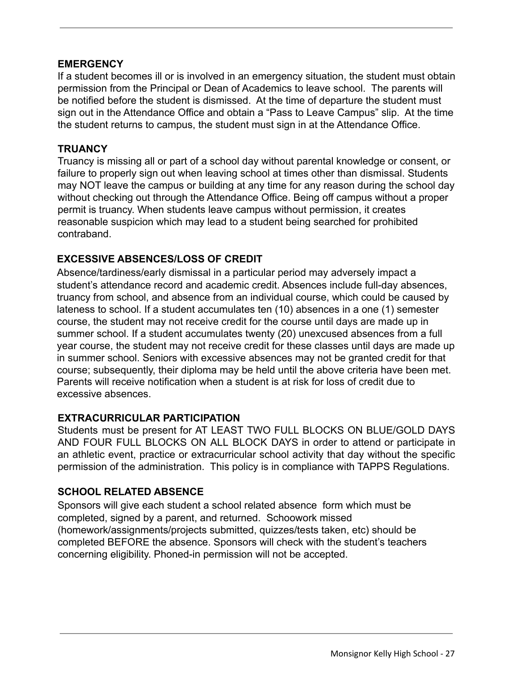#### **EMERGENCY**

If a student becomes ill or is involved in an emergency situation, the student must obtain permission from the Principal or Dean of Academics to leave school. The parents will be notified before the student is dismissed. At the time of departure the student must sign out in the Attendance Office and obtain a "Pass to Leave Campus" slip. At the time the student returns to campus, the student must sign in at the Attendance Office.

#### **TRUANCY**

Truancy is missing all or part of a school day without parental knowledge or consent, or failure to properly sign out when leaving school at times other than dismissal. Students may NOT leave the campus or building at any time for any reason during the school day without checking out through the Attendance Office. Being off campus without a proper permit is truancy. When students leave campus without permission, it creates reasonable suspicion which may lead to a student being searched for prohibited contraband.

#### **EXCESSIVE ABSENCES/LOSS OF CREDIT**

Absence/tardiness/early dismissal in a particular period may adversely impact a student's attendance record and academic credit. Absences include full-day absences, truancy from school, and absence from an individual course, which could be caused by lateness to school. If a student accumulates ten (10) absences in a one (1) semester course, the student may not receive credit for the course until days are made up in summer school. If a student accumulates twenty (20) unexcused absences from a full year course, the student may not receive credit for these classes until days are made up in summer school. Seniors with excessive absences may not be granted credit for that course; subsequently, their diploma may be held until the above criteria have been met. Parents will receive notification when a student is at risk for loss of credit due to excessive absences.

#### **EXTRACURRICULAR PARTICIPATION**

Students must be present for AT LEAST TWO FULL BLOCKS ON BLUE/GOLD DAYS AND FOUR FULL BLOCKS ON ALL BLOCK DAYS in order to attend or participate in an athletic event, practice or extracurricular school activity that day without the specific permission of the administration. This policy is in compliance with TAPPS Regulations.

#### **SCHOOL RELATED ABSENCE**

Sponsors will give each student a school related absence form which must be completed, signed by a parent, and returned. Schoowork missed (homework/assignments/projects submitted, quizzes/tests taken, etc) should be completed BEFORE the absence. Sponsors will check with the student's teachers concerning eligibility. Phoned-in permission will not be accepted.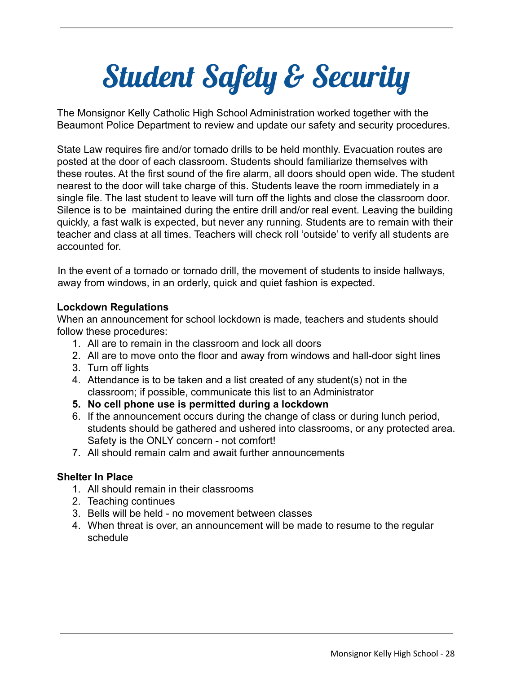## Student Safety & Security

The Monsignor Kelly Catholic High School Administration worked together with the Beaumont Police Department to review and update our safety and security procedures.

State Law requires fire and/or tornado drills to be held monthly. Evacuation routes are posted at the door of each classroom. Students should familiarize themselves with these routes. At the first sound of the fire alarm, all doors should open wide. The student nearest to the door will take charge of this. Students leave the room immediately in a single file. The last student to leave will turn off the lights and close the classroom door. Silence is to be maintained during the entire drill and/or real event. Leaving the building quickly, a fast walk is expected, but never any running. Students are to remain with their teacher and class at all times. Teachers will check roll 'outside' to verify all students are accounted for.

In the event of a tornado or tornado drill, the movement of students to inside hallways, away from windows, in an orderly, quick and quiet fashion is expected.

#### **Lockdown Regulations**

When an announcement for school lockdown is made, teachers and students should follow these procedures:

- 1. All are to remain in the classroom and lock all doors
- 2. All are to move onto the floor and away from windows and hall-door sight lines
- 3. Turn off lights
- 4. Attendance is to be taken and a list created of any student(s) not in the classroom; if possible, communicate this list to an Administrator
- **5. No cell phone use is permitted during a lockdown**
- 6. If the announcement occurs during the change of class or during lunch period, students should be gathered and ushered into classrooms, or any protected area. Safety is the ONLY concern - not comfort!
- 7. All should remain calm and await further announcements

#### **Shelter In Place**

- 1. All should remain in their classrooms
- 2. Teaching continues
- 3. Bells will be held no movement between classes
- 4. When threat is over, an announcement will be made to resume to the regular schedule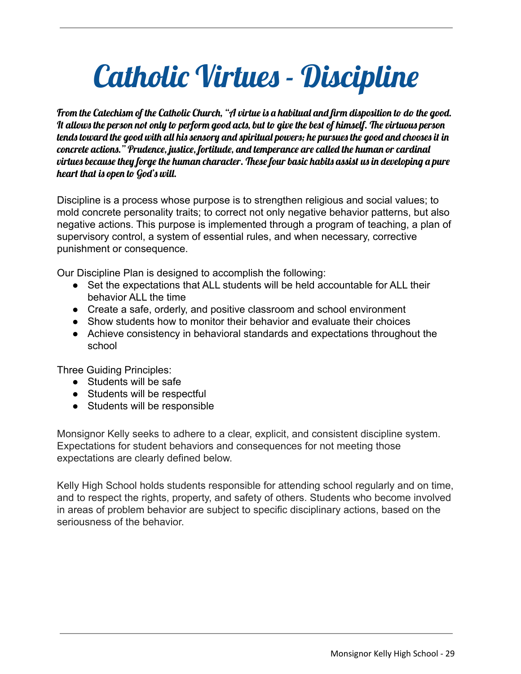### Catholic Virtues - Discipline

From the Catechism of the Catholic Church, "A virtue is a habitual and firm disposition to do the good. It allows the person not only to perform good acts, but to give the best of himself. The virtuous person tends toward the good with all his sensory and spiritual powers; he pursues the good and chooses it in concrete actions." Prudence, justice, fortitude, and temperance are called the human or cardinal virtues because they forge the human character. These four basic habits assist us in developing a pure heart that is open to God's will.

Discipline is a process whose purpose is to strengthen religious and social values; to mold concrete personality traits; to correct not only negative behavior patterns, but also negative actions. This purpose is implemented through a program of teaching, a plan of supervisory control, a system of essential rules, and when necessary, corrective punishment or consequence.

Our Discipline Plan is designed to accomplish the following:

- Set the expectations that ALL students will be held accountable for ALL their behavior ALL the time
- Create a safe, orderly, and positive classroom and school environment
- Show students how to monitor their behavior and evaluate their choices
- Achieve consistency in behavioral standards and expectations throughout the school

Three Guiding Principles:

- Students will be safe
- Students will be respectful
- Students will be responsible

Monsignor Kelly seeks to adhere to a clear, explicit, and consistent discipline system. Expectations for student behaviors and consequences for not meeting those expectations are clearly defined below.

Kelly High School holds students responsible for attending school regularly and on time, and to respect the rights, property, and safety of others. Students who become involved in areas of problem behavior are subject to specific disciplinary actions, based on the seriousness of the behavior.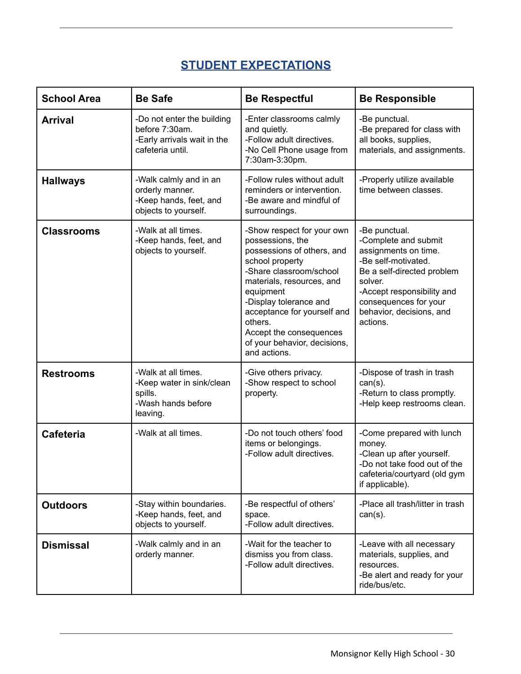#### **STUDENT EXPECTATIONS**

| <b>School Area</b> | <b>Be Safe</b>                                                                                  | <b>Be Respectful</b>                                                                                                                                                                                                                                                                                                | <b>Be Responsible</b>                                                                                                                                                                                                        |
|--------------------|-------------------------------------------------------------------------------------------------|---------------------------------------------------------------------------------------------------------------------------------------------------------------------------------------------------------------------------------------------------------------------------------------------------------------------|------------------------------------------------------------------------------------------------------------------------------------------------------------------------------------------------------------------------------|
| <b>Arrival</b>     | -Do not enter the building<br>before 7:30am.<br>-Early arrivals wait in the<br>cafeteria until. | -Enter classrooms calmly<br>and quietly.<br>-Follow adult directives.<br>-No Cell Phone usage from<br>7:30am-3:30pm.                                                                                                                                                                                                | -Be punctual.<br>-Be prepared for class with<br>all books, supplies,<br>materials, and assignments.                                                                                                                          |
| <b>Hallways</b>    | -Walk calmly and in an<br>orderly manner.<br>-Keep hands, feet, and<br>objects to yourself.     | -Follow rules without adult<br>reminders or intervention.<br>-Be aware and mindful of<br>surroundings.                                                                                                                                                                                                              | -Properly utilize available<br>time between classes.                                                                                                                                                                         |
| <b>Classrooms</b>  | -Walk at all times.<br>-Keep hands, feet, and<br>objects to yourself.                           | -Show respect for your own<br>possessions, the<br>possessions of others, and<br>school property<br>-Share classroom/school<br>materials, resources, and<br>equipment<br>-Display tolerance and<br>acceptance for yourself and<br>others.<br>Accept the consequences<br>of your behavior, decisions,<br>and actions. | -Be punctual.<br>-Complete and submit<br>assignments on time.<br>-Be self-motivated.<br>Be a self-directed problem<br>solver.<br>-Accept responsibility and<br>consequences for your<br>behavior, decisions, and<br>actions. |
| <b>Restrooms</b>   | -Walk at all times.<br>-Keep water in sink/clean<br>spills.<br>-Wash hands before<br>leaving.   | -Give others privacy.<br>-Show respect to school<br>property.                                                                                                                                                                                                                                                       | -Dispose of trash in trash<br>$can(s)$ .<br>-Return to class promptly.<br>-Help keep restrooms clean.                                                                                                                        |
| <b>Cafeteria</b>   | -Walk at all times.                                                                             | -Do not touch others' food<br>items or belongings.<br>-Follow adult directives.                                                                                                                                                                                                                                     | -Come prepared with lunch<br>money.<br>-Clean up after yourself.<br>-Do not take food out of the<br>cafeteria/courtyard (old gym<br>if applicable).                                                                          |
| <b>Outdoors</b>    | -Stay within boundaries.<br>-Keep hands, feet, and<br>objects to yourself.                      | -Be respectful of others'<br>space.<br>-Follow adult directives.                                                                                                                                                                                                                                                    | -Place all trash/litter in trash<br>$can(s)$ .                                                                                                                                                                               |
| <b>Dismissal</b>   | -Walk calmly and in an<br>orderly manner.                                                       | -Wait for the teacher to<br>dismiss you from class.<br>-Follow adult directives.                                                                                                                                                                                                                                    | -Leave with all necessary<br>materials, supplies, and<br>resources.<br>-Be alert and ready for your<br>ride/bus/etc.                                                                                                         |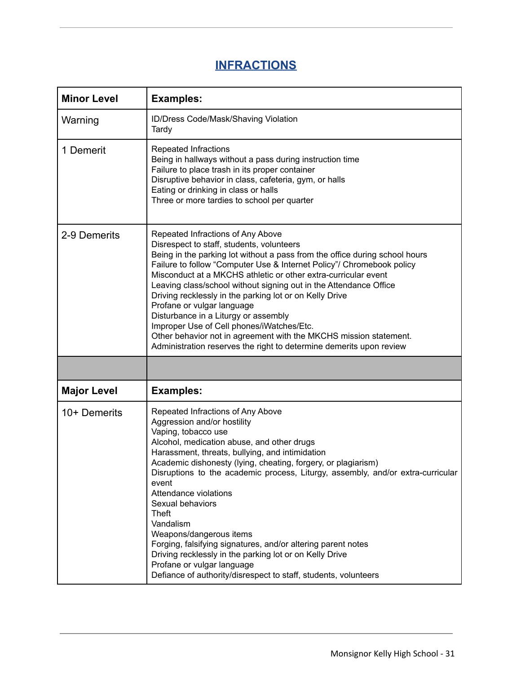#### **INFRACTIONS**

| <b>Minor Level</b> | <b>Examples:</b>                                                                                                                                                                                                                                                                                                                                                                                                                                                                                                                                                                                                                                                                                        |
|--------------------|---------------------------------------------------------------------------------------------------------------------------------------------------------------------------------------------------------------------------------------------------------------------------------------------------------------------------------------------------------------------------------------------------------------------------------------------------------------------------------------------------------------------------------------------------------------------------------------------------------------------------------------------------------------------------------------------------------|
| Warning            | ID/Dress Code/Mask/Shaving Violation<br>Tardy                                                                                                                                                                                                                                                                                                                                                                                                                                                                                                                                                                                                                                                           |
| 1 Demerit          | <b>Repeated Infractions</b><br>Being in hallways without a pass during instruction time<br>Failure to place trash in its proper container<br>Disruptive behavior in class, cafeteria, gym, or halls<br>Eating or drinking in class or halls<br>Three or more tardies to school per quarter                                                                                                                                                                                                                                                                                                                                                                                                              |
| 2-9 Demerits       | Repeated Infractions of Any Above<br>Disrespect to staff, students, volunteers<br>Being in the parking lot without a pass from the office during school hours<br>Failure to follow "Computer Use & Internet Policy"/ Chromebook policy<br>Misconduct at a MKCHS athletic or other extra-curricular event<br>Leaving class/school without signing out in the Attendance Office<br>Driving recklessly in the parking lot or on Kelly Drive<br>Profane or vulgar language<br>Disturbance in a Liturgy or assembly<br>Improper Use of Cell phones/iWatches/Etc.<br>Other behavior not in agreement with the MKCHS mission statement.<br>Administration reserves the right to determine demerits upon review |
|                    |                                                                                                                                                                                                                                                                                                                                                                                                                                                                                                                                                                                                                                                                                                         |
| <b>Major Level</b> | <b>Examples:</b>                                                                                                                                                                                                                                                                                                                                                                                                                                                                                                                                                                                                                                                                                        |
| $10+$ Demerits     | Repeated Infractions of Any Above<br>Aggression and/or hostility<br>Vaping, tobacco use<br>Alcohol, medication abuse, and other drugs<br>Harassment, threats, bullying, and intimidation<br>Academic dishonesty (lying, cheating, forgery, or plagiarism)<br>Disruptions to the academic process, Liturgy, assembly, and/or extra-curricular<br>event<br>Attendance violations<br>Sexual behaviors<br><b>Theft</b><br>Vandalism<br>Weapons/dangerous items<br>Forging, falsifying signatures, and/or altering parent notes<br>Driving recklessly in the parking lot or on Kelly Drive<br>Profane or vulgar language<br>Defiance of authority/disrespect to staff, students, volunteers                  |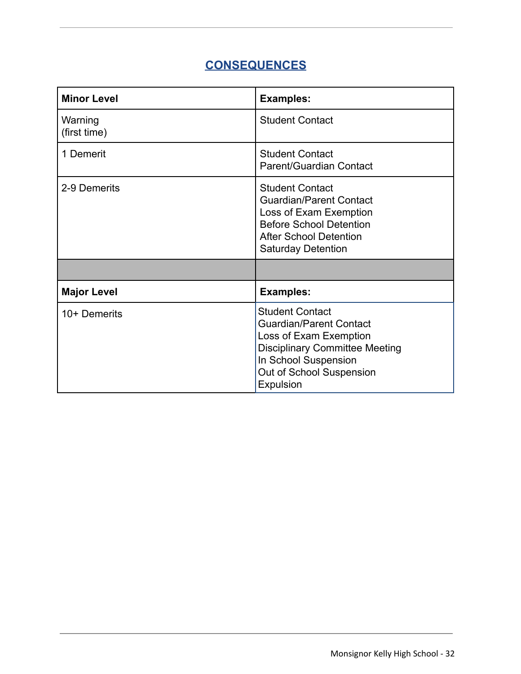#### **CONSEQUENCES**

| <b>Minor Level</b>      | <b>Examples:</b>                                                                                                                                                                             |  |
|-------------------------|----------------------------------------------------------------------------------------------------------------------------------------------------------------------------------------------|--|
| Warning<br>(first time) | <b>Student Contact</b>                                                                                                                                                                       |  |
| 1 Demerit               | <b>Student Contact</b><br>Parent/Guardian Contact                                                                                                                                            |  |
| 2-9 Demerits            | <b>Student Contact</b><br><b>Guardian/Parent Contact</b><br>Loss of Exam Exemption<br><b>Before School Detention</b><br><b>After School Detention</b><br><b>Saturday Detention</b>           |  |
|                         |                                                                                                                                                                                              |  |
| <b>Major Level</b>      | <b>Examples:</b>                                                                                                                                                                             |  |
| $10+$ Demerits          | <b>Student Contact</b><br><b>Guardian/Parent Contact</b><br>Loss of Exam Exemption<br><b>Disciplinary Committee Meeting</b><br>In School Suspension<br>Out of School Suspension<br>Expulsion |  |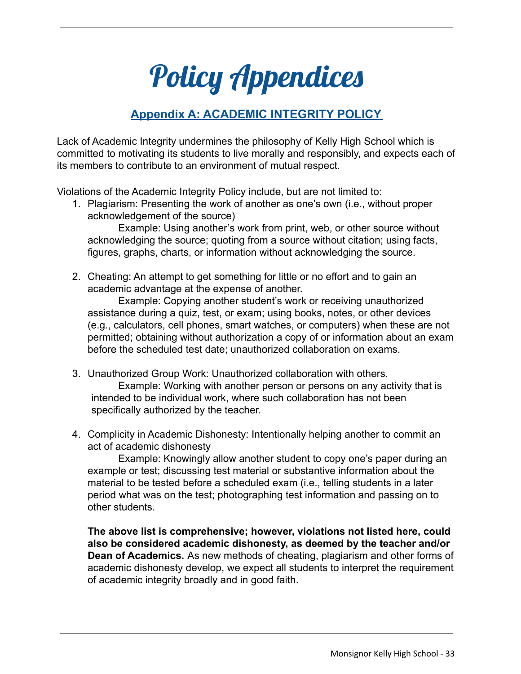### Policy Appendices

#### **Appendix A: ACADEMIC INTEGRITY POLICY**

Lack of Academic Integrity undermines the philosophy of Kelly High School which is committed to motivating its students to live morally and responsibly, and expects each of its members to contribute to an environment of mutual respect.

Violations of the Academic Integrity Policy include, but are not limited to:

1. Plagiarism: Presenting the work of another as one's own (i.e., without proper acknowledgement of the source)

Example: Using another's work from print, web, or other source without acknowledging the source; quoting from a source without citation; using facts, figures, graphs, charts, or information without acknowledging the source.

2. Cheating: An attempt to get something for little or no effort and to gain an academic advantage at the expense of another.

Example: Copying another student's work or receiving unauthorized assistance during a quiz, test, or exam; using books, notes, or other devices (e.g., calculators, cell phones, smart watches, or computers) when these are not permitted; obtaining without authorization a copy of or information about an exam before the scheduled test date; unauthorized collaboration on exams.

3. Unauthorized Group Work: Unauthorized collaboration with others. Example: Working with another person or persons on any activity that is intended to be individual work, where such collaboration has not been

specifically authorized by the teacher.

4. Complicity in Academic Dishonesty: Intentionally helping another to commit an act of academic dishonesty

Example: Knowingly allow another student to copy one's paper during an example or test; discussing test material or substantive information about the material to be tested before a scheduled exam (i.e., telling students in a later period what was on the test; photographing test information and passing on to other students.

**The above list is comprehensive; however, violations not listed here, could also be considered academic dishonesty, as deemed by the teacher and/or Dean of Academics.** As new methods of cheating, plagiarism and other forms of academic dishonesty develop, we expect all students to interpret the requirement of academic integrity broadly and in good faith.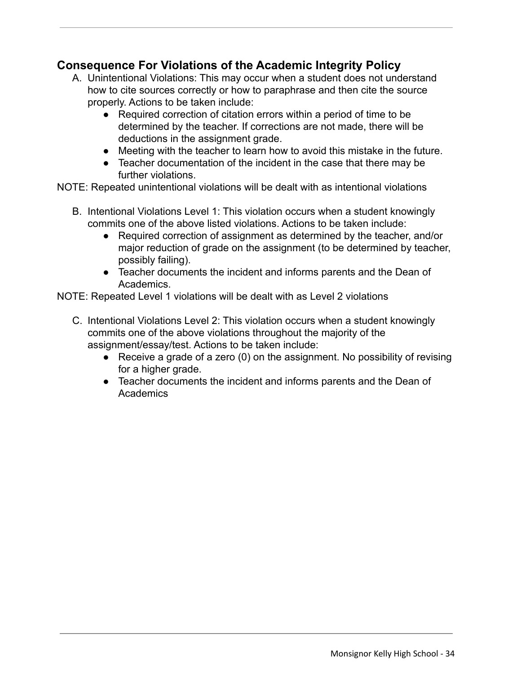#### **Consequence For Violations of the Academic Integrity Policy**

- A. Unintentional Violations: This may occur when a student does not understand how to cite sources correctly or how to paraphrase and then cite the source properly. Actions to be taken include:
	- Required correction of citation errors within a period of time to be determined by the teacher. If corrections are not made, there will be deductions in the assignment grade.
	- Meeting with the teacher to learn how to avoid this mistake in the future.
	- Teacher documentation of the incident in the case that there may be further violations.

NOTE: Repeated unintentional violations will be dealt with as intentional violations

- B. Intentional Violations Level 1: This violation occurs when a student knowingly commits one of the above listed violations. Actions to be taken include:
	- Required correction of assignment as determined by the teacher, and/or major reduction of grade on the assignment (to be determined by teacher, possibly failing).
	- Teacher documents the incident and informs parents and the Dean of Academics.

NOTE: Repeated Level 1 violations will be dealt with as Level 2 violations

- C. Intentional Violations Level 2: This violation occurs when a student knowingly commits one of the above violations throughout the majority of the assignment/essay/test. Actions to be taken include:
	- Receive a grade of a zero (0) on the assignment. No possibility of revising for a higher grade.
	- Teacher documents the incident and informs parents and the Dean of **Academics**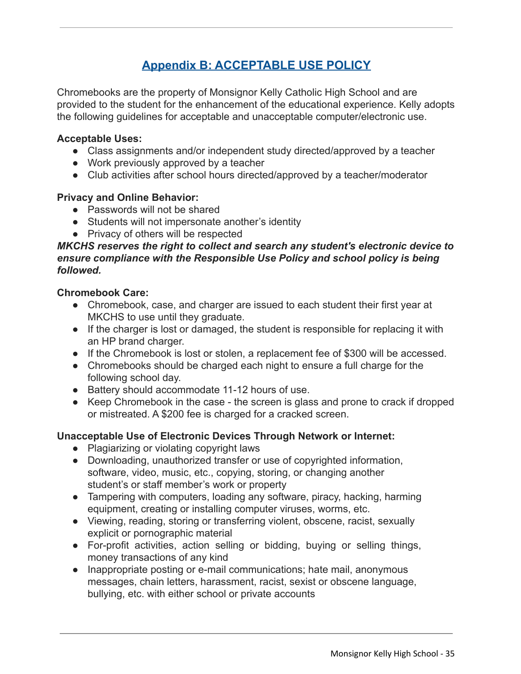#### **Appendix B: ACCEPTABLE USE POLICY**

Chromebooks are the property of Monsignor Kelly Catholic High School and are provided to the student for the enhancement of the educational experience. Kelly adopts the following guidelines for acceptable and unacceptable computer/electronic use.

#### **Acceptable Uses:**

- Class assignments and/or independent study directed/approved by a teacher
- Work previously approved by a teacher
- Club activities after school hours directed/approved by a teacher/moderator

#### **Privacy and Online Behavior:**

- Passwords will not be shared
- Students will not impersonate another's identity
- Privacy of others will be respected

#### *MKCHS reserves the right to collect and search any student's electronic device to ensure compliance with the Responsible Use Policy and school policy is being followed.*

#### **Chromebook Care:**

- Chromebook, case, and charger are issued to each student their first year at MKCHS to use until they graduate.
- If the charger is lost or damaged, the student is responsible for replacing it with an HP brand charger.
- If the Chromebook is lost or stolen, a replacement fee of \$300 will be accessed.
- Chromebooks should be charged each night to ensure a full charge for the following school day.
- Battery should accommodate 11-12 hours of use.
- Keep Chromebook in the case the screen is glass and prone to crack if dropped or mistreated. A \$200 fee is charged for a cracked screen.

#### **Unacceptable Use of Electronic Devices Through Network or Internet:**

- Plagiarizing or violating copyright laws
- Downloading, unauthorized transfer or use of copyrighted information, software, video, music, etc., copying, storing, or changing another student's or staff member's work or property
- Tampering with computers, loading any software, piracy, hacking, harming equipment, creating or installing computer viruses, worms, etc.
- Viewing, reading, storing or transferring violent, obscene, racist, sexually explicit or pornographic material
- For-profit activities, action selling or bidding, buying or selling things, money transactions of any kind
- Inappropriate posting or e-mail communications; hate mail, anonymous messages, chain letters, harassment, racist, sexist or obscene language, bullying, etc. with either school or private accounts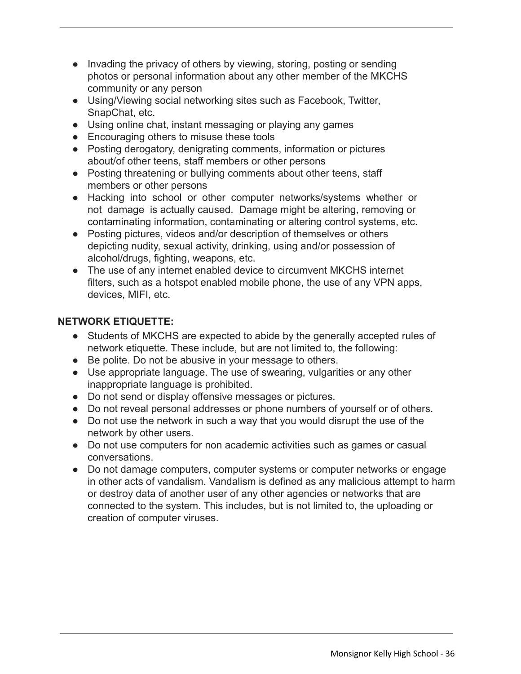- Invading the privacy of others by viewing, storing, posting or sending photos or personal information about any other member of the MKCHS community or any person
- Using/Viewing social networking sites such as Facebook, Twitter, SnapChat, etc.
- Using online chat, instant messaging or playing any games
- Encouraging others to misuse these tools
- Posting derogatory, denigrating comments, information or pictures about/of other teens, staff members or other persons
- Posting threatening or bullying comments about other teens, staff members or other persons
- Hacking into school or other computer networks/systems whether or not damage is actually caused. Damage might be altering, removing or contaminating information, contaminating or altering control systems, etc.
- Posting pictures, videos and/or description of themselves or others depicting nudity, sexual activity, drinking, using and/or possession of alcohol/drugs, fighting, weapons, etc.
- The use of any internet enabled device to circumvent MKCHS internet filters, such as a hotspot enabled mobile phone, the use of any VPN apps, devices, MIFI, etc.

#### **NETWORK ETIQUETTE:**

- Students of MKCHS are expected to abide by the generally accepted rules of network etiquette. These include, but are not limited to, the following:
- Be polite. Do not be abusive in your message to others.
- Use appropriate language. The use of swearing, vulgarities or any other inappropriate language is prohibited.
- Do not send or display offensive messages or pictures.
- Do not reveal personal addresses or phone numbers of yourself or of others.
- Do not use the network in such a way that you would disrupt the use of the network by other users.
- Do not use computers for non academic activities such as games or casual conversations.
- Do not damage computers, computer systems or computer networks or engage in other acts of vandalism. Vandalism is defined as any malicious attempt to harm or destroy data of another user of any other agencies or networks that are connected to the system. This includes, but is not limited to, the uploading or creation of computer viruses.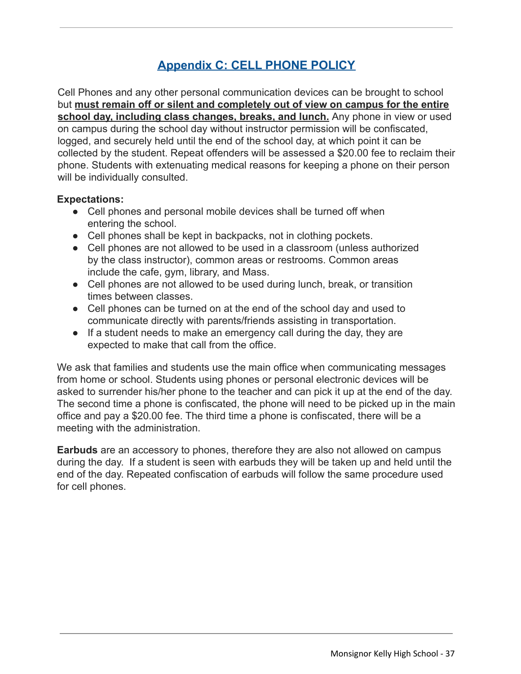#### **Appendix C: CELL PHONE POLICY**

Cell Phones and any other personal communication devices can be brought to school but **must remain off or silent and completely out of view on campus for the entire school day, including class changes, breaks, and lunch.** Any phone in view or used on campus during the school day without instructor permission will be confiscated, logged, and securely held until the end of the school day, at which point it can be collected by the student. Repeat offenders will be assessed a \$20.00 fee to reclaim their phone. Students with extenuating medical reasons for keeping a phone on their person will be individually consulted.

#### **Expectations:**

- Cell phones and personal mobile devices shall be turned off when entering the school.
- Cell phones shall be kept in backpacks, not in clothing pockets.
- Cell phones are not allowed to be used in a classroom (unless authorized by the class instructor), common areas or restrooms. Common areas include the cafe, gym, library, and Mass.
- Cell phones are not allowed to be used during lunch, break, or transition times between classes.
- Cell phones can be turned on at the end of the school day and used to communicate directly with parents/friends assisting in transportation.
- If a student needs to make an emergency call during the day, they are expected to make that call from the office.

We ask that families and students use the main office when communicating messages from home or school. Students using phones or personal electronic devices will be asked to surrender his/her phone to the teacher and can pick it up at the end of the day. The second time a phone is confiscated, the phone will need to be picked up in the main office and pay a \$20.00 fee. The third time a phone is confiscated, there will be a meeting with the administration.

**Earbuds** are an accessory to phones, therefore they are also not allowed on campus during the day. If a student is seen with earbuds they will be taken up and held until the end of the day. Repeated confiscation of earbuds will follow the same procedure used for cell phones.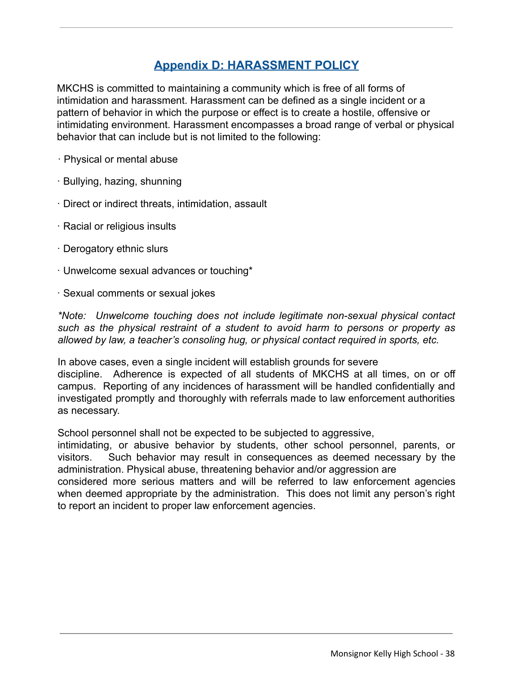#### **Appendix D: HARASSMENT POLICY**

MKCHS is committed to maintaining a community which is free of all forms of intimidation and harassment. Harassment can be defined as a single incident or a pattern of behavior in which the purpose or effect is to create a hostile, offensive or intimidating environment. Harassment encompasses a broad range of verbal or physical behavior that can include but is not limited to the following:

- · Physical or mental abuse
- · Bullying, hazing, shunning
- · Direct or indirect threats, intimidation, assault
- · Racial or religious insults
- · Derogatory ethnic slurs
- · Unwelcome sexual advances or touching\*
- · Sexual comments or sexual jokes

*\*Note: Unwelcome touching does not include legitimate non-sexual physical contact such as the physical restraint of a student to avoid harm to persons or property as allowed by law, a teacher's consoling hug, or physical contact required in sports, etc.*

In above cases, even a single incident will establish grounds for severe discipline. Adherence is expected of all students of MKCHS at all times, on or off campus. Reporting of any incidences of harassment will be handled confidentially and investigated promptly and thoroughly with referrals made to law enforcement authorities as necessary.

School personnel shall not be expected to be subjected to aggressive,

intimidating, or abusive behavior by students, other school personnel, parents, or visitors. Such behavior may result in consequences as deemed necessary by the administration. Physical abuse, threatening behavior and/or aggression are

considered more serious matters and will be referred to law enforcement agencies when deemed appropriate by the administration. This does not limit any person's right to report an incident to proper law enforcement agencies.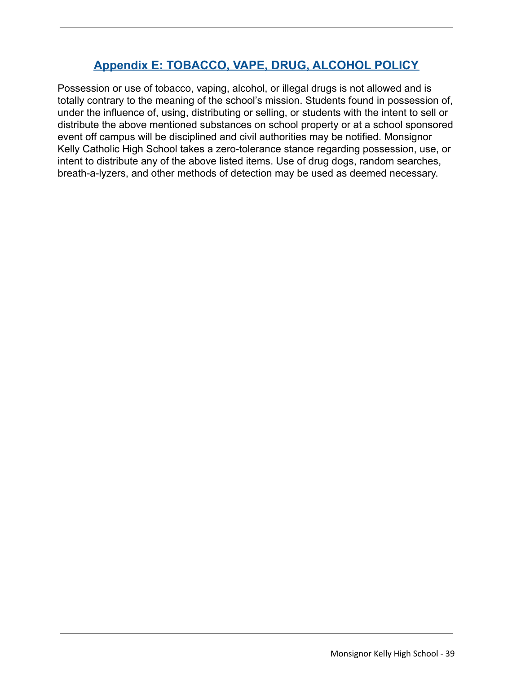#### **Appendix E: TOBACCO, VAPE, DRUG, ALCOHOL POLICY**

Possession or use of tobacco, vaping, alcohol, or illegal drugs is not allowed and is totally contrary to the meaning of the school's mission. Students found in possession of, under the influence of, using, distributing or selling, or students with the intent to sell or distribute the above mentioned substances on school property or at a school sponsored event off campus will be disciplined and civil authorities may be notified. Monsignor Kelly Catholic High School takes a zero-tolerance stance regarding possession, use, or intent to distribute any of the above listed items. Use of drug dogs, random searches, breath-a-lyzers, and other methods of detection may be used as deemed necessary.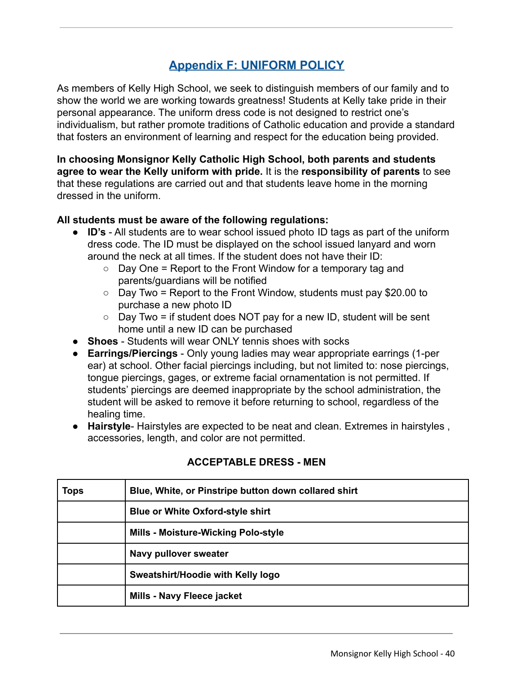#### **Appendix F: UNIFORM POLICY**

As members of Kelly High School, we seek to distinguish members of our family and to show the world we are working towards greatness! Students at Kelly take pride in their personal appearance. The uniform dress code is not designed to restrict one's individualism, but rather promote traditions of Catholic education and provide a standard that fosters an environment of learning and respect for the education being provided.

**In choosing Monsignor Kelly Catholic High School, both parents and students agree to wear the Kelly uniform with pride.** It is the **responsibility of parents** to see that these regulations are carried out and that students leave home in the morning dressed in the uniform.

#### **All students must be aware of the following regulations:**

- **ID's** All students are to wear school issued photo ID tags as part of the uniform dress code. The ID must be displayed on the school issued lanyard and worn around the neck at all times. If the student does not have their ID:
	- $\circ$  Day One = Report to the Front Window for a temporary tag and parents/guardians will be notified
	- $\circ$  Day Two = Report to the Front Window, students must pay \$20.00 to purchase a new photo ID
	- $\circ$  Day Two = if student does NOT pay for a new ID, student will be sent home until a new ID can be purchased
- **Shoes** Students will wear ONLY tennis shoes with socks
- **Earrings/Piercings** Only young ladies may wear appropriate earrings (1-per ear) at school. Other facial piercings including, but not limited to: nose piercings, tongue piercings, gages, or extreme facial ornamentation is not permitted. If students' piercings are deemed inappropriate by the school administration, the student will be asked to remove it before returning to school, regardless of the healing time.
- **Hairstyle** Hairstyles are expected to be neat and clean. Extremes in hairstyles , accessories, length, and color are not permitted.

| <b>Tops</b> | Blue, White, or Pinstripe button down collared shirt |  |
|-------------|------------------------------------------------------|--|
|             | <b>Blue or White Oxford-style shirt</b>              |  |
|             | <b>Mills - Moisture-Wicking Polo-style</b>           |  |
|             | Navy pullover sweater                                |  |
|             | Sweatshirt/Hoodie with Kelly logo                    |  |
|             | Mills - Navy Fleece jacket                           |  |

#### **ACCEPTABLE DRESS - MEN**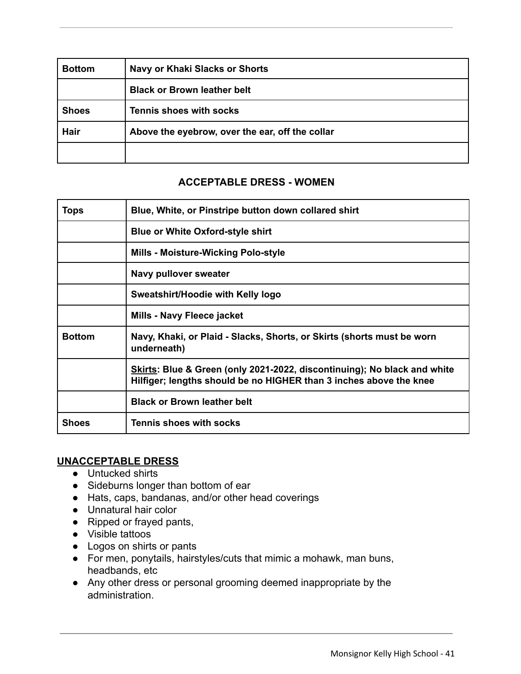| <b>Bottom</b> | <b>Navy or Khaki Slacks or Shorts</b>           |
|---------------|-------------------------------------------------|
|               | <b>Black or Brown leather belt</b>              |
| <b>Shoes</b>  | <b>Tennis shoes with socks</b>                  |
| <b>Hair</b>   | Above the eyebrow, over the ear, off the collar |
|               |                                                 |

#### **ACCEPTABLE DRESS - WOMEN**

| <b>Tops</b>   | Blue, White, or Pinstripe button down collared shirt                                                                                           |
|---------------|------------------------------------------------------------------------------------------------------------------------------------------------|
|               | <b>Blue or White Oxford-style shirt</b>                                                                                                        |
|               | <b>Mills - Moisture-Wicking Polo-style</b>                                                                                                     |
|               | Navy pullover sweater                                                                                                                          |
|               | Sweatshirt/Hoodie with Kelly logo                                                                                                              |
|               | Mills - Navy Fleece jacket                                                                                                                     |
| <b>Bottom</b> | Navy, Khaki, or Plaid - Slacks, Shorts, or Skirts (shorts must be worn<br>underneath)                                                          |
|               | Skirts: Blue & Green (only 2021-2022, discontinuing); No black and white<br>Hilfiger; lengths should be no HIGHER than 3 inches above the knee |
|               | <b>Black or Brown leather belt</b>                                                                                                             |
| Shoes         | <b>Tennis shoes with socks</b>                                                                                                                 |

#### **UNACCEPTABLE DRESS**

- Untucked shirts
- Sideburns longer than bottom of ear
- Hats, caps, bandanas, and/or other head coverings
- Unnatural hair color
- Ripped or frayed pants,
- Visible tattoos
- Logos on shirts or pants
- For men, ponytails, hairstyles/cuts that mimic a mohawk, man buns, headbands, etc
- Any other dress or personal grooming deemed inappropriate by the administration.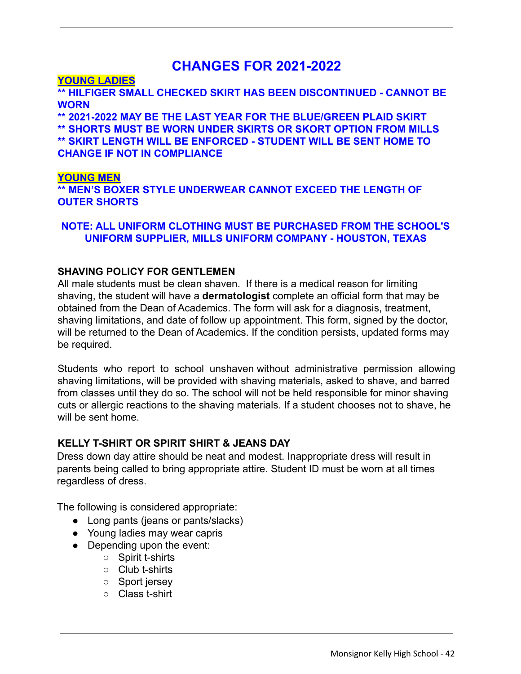#### **CHANGES FOR 2021-2022**

#### **YOUNG LADIES**

**\*\* HILFIGER SMALL CHECKED SKIRT HAS BEEN DISCONTINUED - CANNOT BE WORN**

**\*\* 2021-2022 MAY BE THE LAST YEAR FOR THE BLUE/GREEN PLAID SKIRT \*\* SHORTS MUST BE WORN UNDER SKIRTS OR SKORT OPTION FROM MILLS \*\* SKIRT LENGTH WILL BE ENFORCED - STUDENT WILL BE SENT HOME TO CHANGE IF NOT IN COMPLIANCE**

#### **YOUNG MEN**

**\*\* MEN'S BOXER STYLE UNDERWEAR CANNOT EXCEED THE LENGTH OF OUTER SHORTS**

#### **NOTE: ALL UNIFORM CLOTHING MUST BE PURCHASED FROM THE SCHOOL'S UNIFORM SUPPLIER, MILLS UNIFORM COMPANY - HOUSTON, TEXAS**

#### **SHAVING POLICY FOR GENTLEMEN**

All male students must be clean shaven. If there is a medical reason for limiting shaving, the student will have a **dermatologist** complete an official form that may be obtained from the Dean of Academics. The form will ask for a diagnosis, treatment, shaving limitations, and date of follow up appointment. This form, signed by the doctor, will be returned to the Dean of Academics. If the condition persists, updated forms may be required.

Students who report to school unshaven without administrative permission allowing shaving limitations, will be provided with shaving materials, asked to shave, and barred from classes until they do so. The school will not be held responsible for minor shaving cuts or allergic reactions to the shaving materials. If a student chooses not to shave, he will be sent home.

#### **KELLY T-SHIRT OR SPIRIT SHIRT & JEANS DAY**

Dress down day attire should be neat and modest. Inappropriate dress will result in parents being called to bring appropriate attire. Student ID must be worn at all times regardless of dress.

The following is considered appropriate:

- Long pants (jeans or pants/slacks)
- Young ladies may wear capris
- Depending upon the event:
	- Spirit t-shirts
	- Club t-shirts
	- Sport jersey
	- Class t-shirt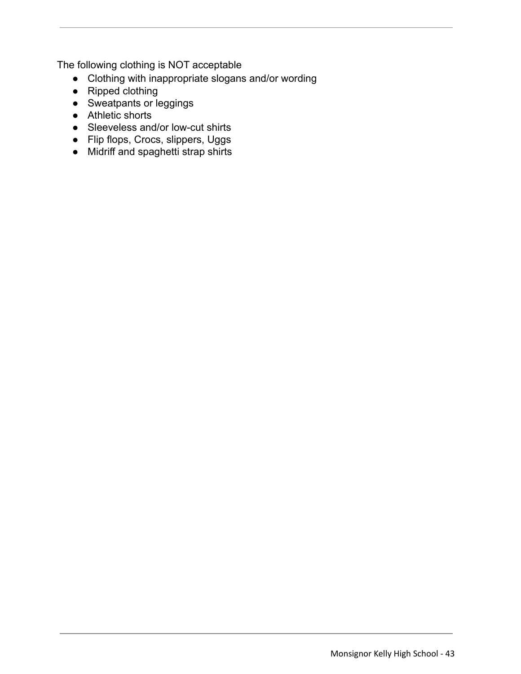The following clothing is NOT acceptable

- Clothing with inappropriate slogans and/or wording
- Ripped clothing
- Sweatpants or leggings
- Athletic shorts
- Sleeveless and/or low-cut shirts
- Flip flops, Crocs, slippers, Uggs
- Midriff and spaghetti strap shirts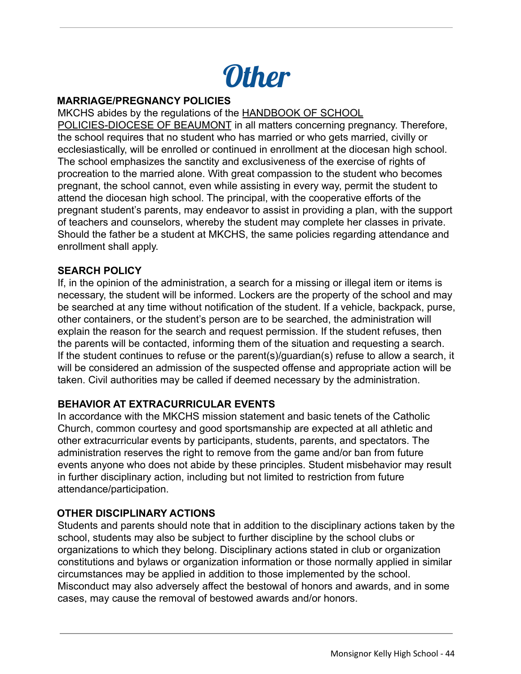

#### **MARRIAGE/PREGNANCY POLICIES**

MKCHS abides by the regulations of the HANDBOOK OF SCHOOL

POLICIES-DIOCESE OF BEAUMONT in all matters concerning pregnancy. Therefore, the school requires that no student who has married or who gets married, civilly or ecclesiastically, will be enrolled or continued in enrollment at the diocesan high school. The school emphasizes the sanctity and exclusiveness of the exercise of rights of procreation to the married alone. With great compassion to the student who becomes pregnant, the school cannot, even while assisting in every way, permit the student to attend the diocesan high school. The principal, with the cooperative efforts of the pregnant student's parents, may endeavor to assist in providing a plan, with the support of teachers and counselors, whereby the student may complete her classes in private. Should the father be a student at MKCHS, the same policies regarding attendance and enrollment shall apply.

#### **SEARCH POLICY**

If, in the opinion of the administration, a search for a missing or illegal item or items is necessary, the student will be informed. Lockers are the property of the school and may be searched at any time without notification of the student. If a vehicle, backpack, purse, other containers, or the student's person are to be searched, the administration will explain the reason for the search and request permission. If the student refuses, then the parents will be contacted, informing them of the situation and requesting a search. If the student continues to refuse or the parent(s)/guardian(s) refuse to allow a search, it will be considered an admission of the suspected offense and appropriate action will be taken. Civil authorities may be called if deemed necessary by the administration.

#### **BEHAVIOR AT EXTRACURRICULAR EVENTS**

In accordance with the MKCHS mission statement and basic tenets of the Catholic Church, common courtesy and good sportsmanship are expected at all athletic and other extracurricular events by participants, students, parents, and spectators. The administration reserves the right to remove from the game and/or ban from future events anyone who does not abide by these principles. Student misbehavior may result in further disciplinary action, including but not limited to restriction from future attendance/participation.

#### **OTHER DISCIPLINARY ACTIONS**

Students and parents should note that in addition to the disciplinary actions taken by the school, students may also be subject to further discipline by the school clubs or organizations to which they belong. Disciplinary actions stated in club or organization constitutions and bylaws or organization information or those normally applied in similar circumstances may be applied in addition to those implemented by the school. Misconduct may also adversely affect the bestowal of honors and awards, and in some cases, may cause the removal of bestowed awards and/or honors.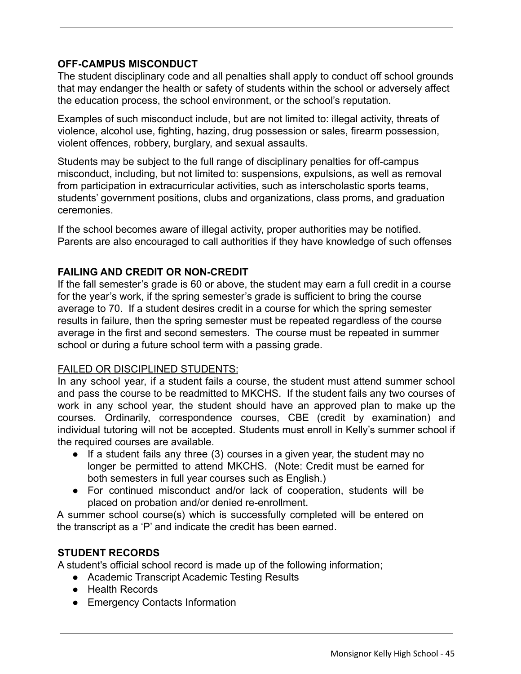#### **OFF-CAMPUS MISCONDUCT**

The student disciplinary code and all penalties shall apply to conduct off school grounds that may endanger the health or safety of students within the school or adversely affect the education process, the school environment, or the school's reputation.

Examples of such misconduct include, but are not limited to: illegal activity, threats of violence, alcohol use, fighting, hazing, drug possession or sales, firearm possession, violent offences, robbery, burglary, and sexual assaults.

Students may be subject to the full range of disciplinary penalties for off-campus misconduct, including, but not limited to: suspensions, expulsions, as well as removal from participation in extracurricular activities, such as interscholastic sports teams, students' government positions, clubs and organizations, class proms, and graduation ceremonies.

If the school becomes aware of illegal activity, proper authorities may be notified. Parents are also encouraged to call authorities if they have knowledge of such offenses

#### **FAILING AND CREDIT OR NON-CREDIT**

If the fall semester's grade is 60 or above, the student may earn a full credit in a course for the year's work, if the spring semester's grade is sufficient to bring the course average to 70. If a student desires credit in a course for which the spring semester results in failure, then the spring semester must be repeated regardless of the course average in the first and second semesters. The course must be repeated in summer school or during a future school term with a passing grade.

#### FAILED OR DISCIPLINED STUDENTS:

In any school year, if a student fails a course, the student must attend summer school and pass the course to be readmitted to MKCHS. If the student fails any two courses of work in any school year, the student should have an approved plan to make up the courses. Ordinarily, correspondence courses, CBE (credit by examination) and individual tutoring will not be accepted. Students must enroll in Kelly's summer school if the required courses are available.

- $\bullet$  If a student fails any three (3) courses in a given year, the student may no longer be permitted to attend MKCHS. (Note: Credit must be earned for both semesters in full year courses such as English.)
- For continued misconduct and/or lack of cooperation, students will be placed on probation and/or denied re-enrollment.

A summer school course(s) which is successfully completed will be entered on the transcript as a 'P' and indicate the credit has been earned.

#### **STUDENT RECORDS**

A student's official school record is made up of the following information;

- Academic Transcript Academic Testing Results
- Health Records
- Emergency Contacts Information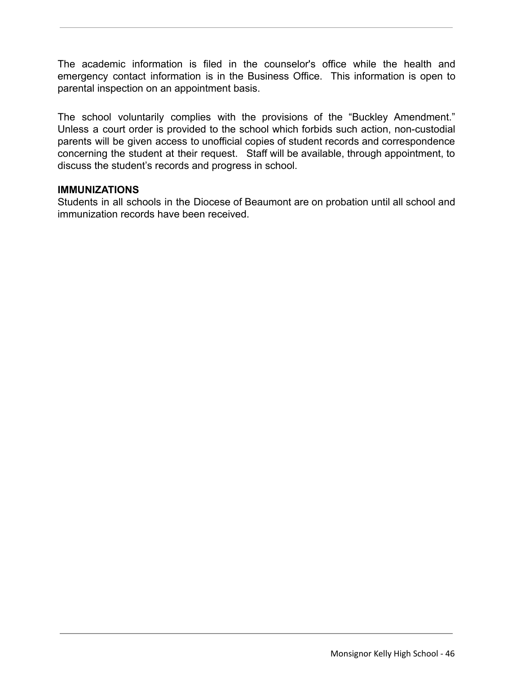The academic information is filed in the counselor's office while the health and emergency contact information is in the Business Office. This information is open to parental inspection on an appointment basis.

The school voluntarily complies with the provisions of the "Buckley Amendment." Unless a court order is provided to the school which forbids such action, non-custodial parents will be given access to unofficial copies of student records and correspondence concerning the student at their request. Staff will be available, through appointment, to discuss the student's records and progress in school.

#### **IMMUNIZATIONS**

Students in all schools in the Diocese of Beaumont are on probation until all school and immunization records have been received.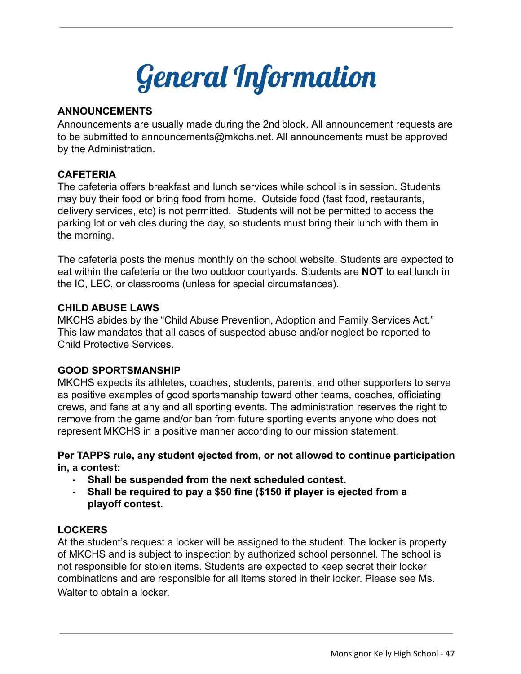

#### **ANNOUNCEMENTS**

Announcements are usually made during the 2nd block. All announcement requests are to be submitted to announcements@mkchs.net. All announcements must be approved by the Administration.

#### **CAFETERIA**

The cafeteria offers breakfast and lunch services while school is in session. Students may buy their food or bring food from home. Outside food (fast food, restaurants, delivery services, etc) is not permitted. Students will not be permitted to access the parking lot or vehicles during the day, so students must bring their lunch with them in the morning.

The cafeteria posts the menus monthly on the school website. Students are expected to eat within the cafeteria or the two outdoor courtyards. Students are **NOT** to eat lunch in the IC, LEC, or classrooms (unless for special circumstances).

#### **CHILD ABUSE LAWS**

MKCHS abides by the "Child Abuse Prevention, Adoption and Family Services Act." This law mandates that all cases of suspected abuse and/or neglect be reported to Child Protective Services.

#### **GOOD SPORTSMANSHIP**

MKCHS expects its athletes, coaches, students, parents, and other supporters to serve as positive examples of good sportsmanship toward other teams, coaches, officiating crews, and fans at any and all sporting events. The administration reserves the right to remove from the game and/or ban from future sporting events anyone who does not represent MKCHS in a positive manner according to our mission statement.

**Per TAPPS rule, any student ejected from, or not allowed to continue participation in, a contest:**

- **- Shall be suspended from the next scheduled contest.**
- **- Shall be required to pay a \$50 fine (\$150 if player is ejected from a playoff contest.**

#### **LOCKERS**

At the student's request a locker will be assigned to the student. The locker is property of MKCHS and is subject to inspection by authorized school personnel. The school is not responsible for stolen items. Students are expected to keep secret their locker combinations and are responsible for all items stored in their locker. Please see Ms. Walter to obtain a locker.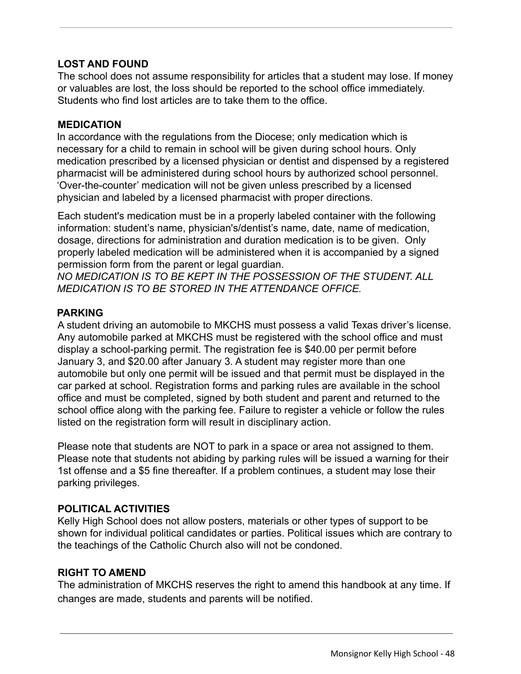#### **LOST AND FOUND**

The school does not assume responsibility for articles that a student may lose. If money or valuables are lost, the loss should be reported to the school office immediately. Students who find lost articles are to take them to the office.

#### **MEDICATION**

In accordance with the regulations from the Diocese; only medication which is necessary for a child to remain in school will be given during school hours. Only medication prescribed by a licensed physician or dentist and dispensed by a registered pharmacist will be administered during school hours by authorized school personnel. 'Over-the-counter' medication will not be given unless prescribed by a licensed physician and labeled by a licensed pharmacist with proper directions.

Each student's medication must be in a properly labeled container with the following information: student's name, physician's/dentist's name, date, name of medication, dosage, directions for administration and duration medication is to be given. Only properly labeled medication will be administered when it is accompanied by a signed permission form from the parent or legal guardian.

*NO MEDICATION IS TO BE KEPT IN THE POSSESSION OF THE STUDENT. ALL MEDICATION IS TO BE STORED IN THE ATTENDANCE OFFICE.*

#### **PARKING**

A student driving an automobile to MKCHS must possess a valid Texas driver's license. Any automobile parked at MKCHS must be registered with the school office and must display a school-parking permit. The registration fee is \$40.00 per permit before January 3, and \$20.00 after January 3. A student may register more than one automobile but only one permit will be issued and that permit must be displayed in the car parked at school. Registration forms and parking rules are available in the school office and must be completed, signed by both student and parent and returned to the school office along with the parking fee. Failure to register a vehicle or follow the rules listed on the registration form will result in disciplinary action.

Please note that students are NOT to park in a space or area not assigned to them. Please note that students not abiding by parking rules will be issued a warning for their 1st offense and a \$5 fine thereafter. If a problem continues, a student may lose their parking privileges.

#### **POLITICAL ACTIVITIES**

Kelly High School does not allow posters, materials or other types of support to be shown for individual political candidates or parties. Political issues which are contrary to the teachings of the Catholic Church also will not be condoned.

#### **RIGHT TO AMEND**

The administration of MKCHS reserves the right to amend this handbook at any time. If changes are made, students and parents will be notified.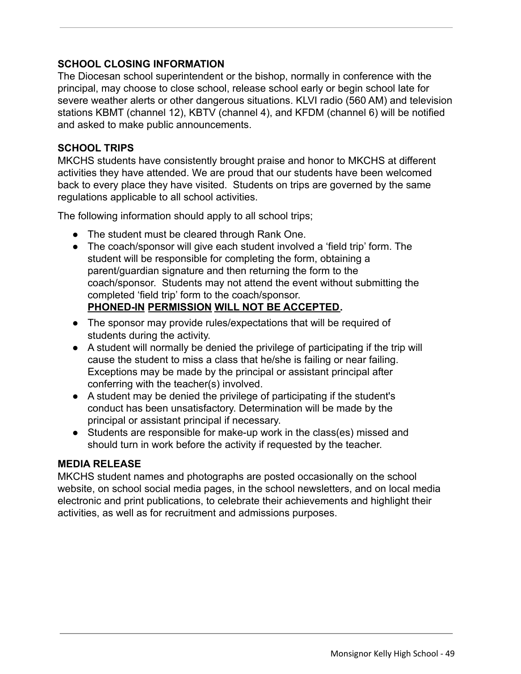#### **SCHOOL CLOSING INFORMATION**

The Diocesan school superintendent or the bishop, normally in conference with the principal, may choose to close school, release school early or begin school late for severe weather alerts or other dangerous situations. KLVI radio (560 AM) and television stations KBMT (channel 12), KBTV (channel 4), and KFDM (channel 6) will be notified and asked to make public announcements.

#### **SCHOOL TRIPS**

MKCHS students have consistently brought praise and honor to MKCHS at different activities they have attended. We are proud that our students have been welcomed back to every place they have visited. Students on trips are governed by the same regulations applicable to all school activities.

The following information should apply to all school trips;

- The student must be cleared through Rank One.
- The coach/sponsor will give each student involved a 'field trip' form. The student will be responsible for completing the form, obtaining a parent/guardian signature and then returning the form to the coach/sponsor. Students may not attend the event without submitting the completed 'field trip' form to the coach/sponsor. **PHONED-IN PERMISSION WILL NOT BE ACCEPTED.**
- The sponsor may provide rules/expectations that will be required of students during the activity.
- A student will normally be denied the privilege of participating if the trip will cause the student to miss a class that he/she is failing or near failing. Exceptions may be made by the principal or assistant principal after conferring with the teacher(s) involved.
- A student may be denied the privilege of participating if the student's conduct has been unsatisfactory. Determination will be made by the principal or assistant principal if necessary.
- Students are responsible for make-up work in the class(es) missed and should turn in work before the activity if requested by the teacher.

#### **MEDIA RELEASE**

MKCHS student names and photographs are posted occasionally on the school website, on school social media pages, in the school newsletters, and on local media electronic and print publications, to celebrate their achievements and highlight their activities, as well as for recruitment and admissions purposes.